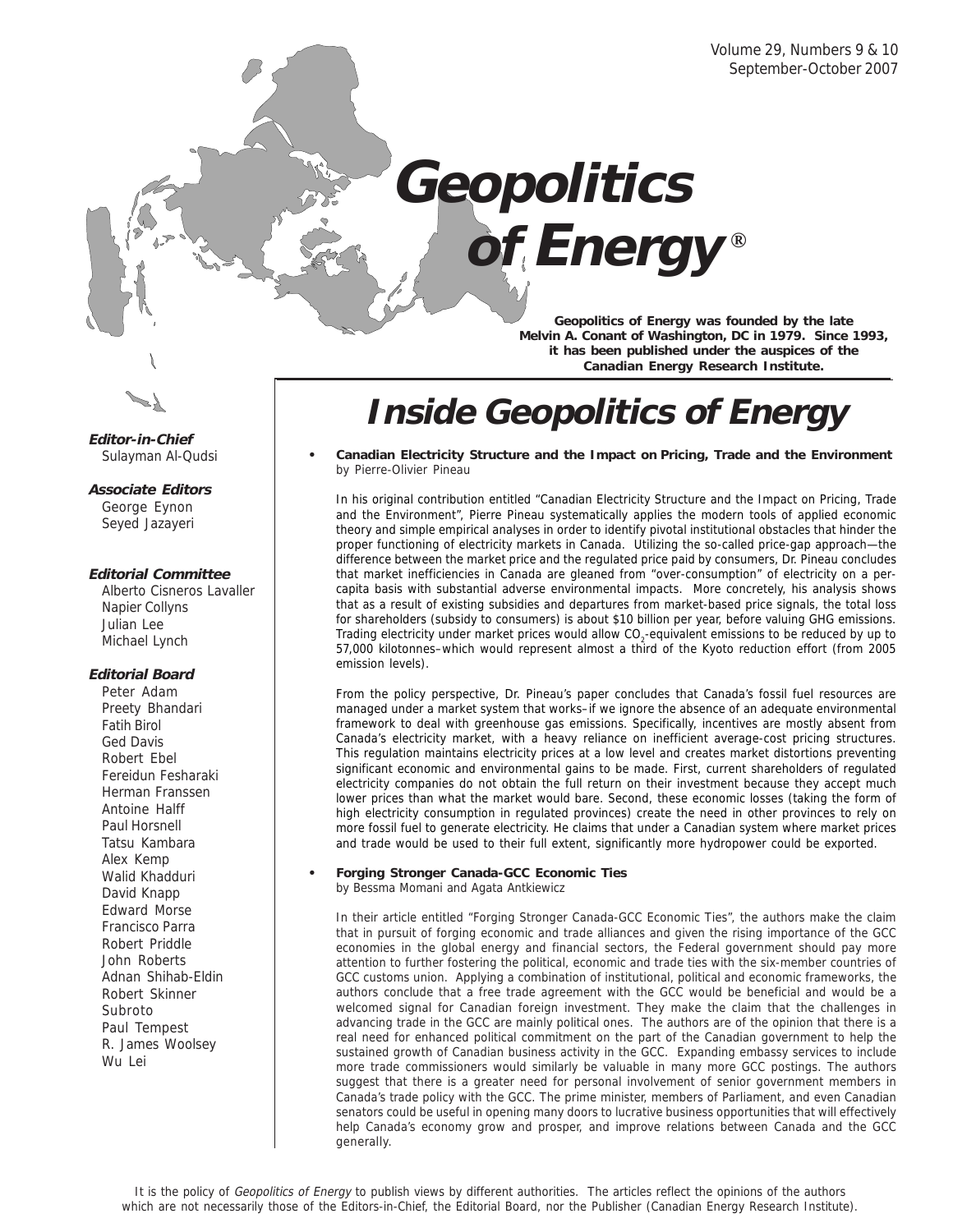# **® of EnergyGeopolitics**

**Geopolitics of Energy was founded by the late Melvin A. Conant of Washington, DC in 1979. Since 1993, it has been published under the auspices of the Canadian Energy Research Institute.**

## **Inside Geopolitics of Energy**

**• Canadian Electricity Structure and the Impact on Pricing, Trade and the Environment** by Pierre-Olivier Pineau

In his original contribution entitled "Canadian Electricity Structure and the Impact on Pricing, Trade and the Environment", Pierre Pineau systematically applies the modern tools of applied economic theory and simple empirical analyses in order to identify pivotal institutional obstacles that hinder the proper functioning of electricity markets in Canada. Utilizing the so-called price-gap approach—the difference between the market price and the regulated price paid by consumers, Dr. Pineau concludes that market inefficiencies in Canada are gleaned from "over-consumption" of electricity on a percapita basis with substantial adverse environmental impacts. More concretely, his analysis shows that as a result of existing subsidies and departures from market-based price signals, the total loss for shareholders (subsidy to consumers) is about \$10 billion per year, before valuing GHG emissions. Trading electricity under market prices would allow CO<sub>2</sub>-equivalent emissions to be reduced by up to 57,000 kilotonnes–which would represent almost a third of the Kyoto reduction effort (from 2005 emission levels).

From the policy perspective, Dr. Pineau's paper concludes that Canada's fossil fuel resources are managed under a market system that works–if we ignore the absence of an adequate environmental framework to deal with greenhouse gas emissions. Specifically, incentives are mostly absent from Canada's electricity market, with a heavy reliance on inefficient average-cost pricing structures. This regulation maintains electricity prices at a low level and creates market distortions preventing significant economic and environmental gains to be made. First, current shareholders of regulated electricity companies do not obtain the full return on their investment because they accept much lower prices than what the market would bare. Second, these economic losses (taking the form of high electricity consumption in regulated provinces) create the need in other provinces to rely on more fossil fuel to generate electricity. He claims that under a Canadian system where market prices and trade would be used to their full extent, significantly more hydropower could be exported.

**• Forging Stronger Canada-GCC Economic Ties** by Bessma Momani and Agata Antkiewicz

In their article entitled "Forging Stronger Canada-GCC Economic Ties", the authors make the claim that in pursuit of forging economic and trade alliances and given the rising importance of the GCC economies in the global energy and financial sectors, the Federal government should pay more attention to further fostering the political, economic and trade ties with the six-member countries of GCC customs union. Applying a combination of institutional, political and economic frameworks, the authors conclude that a free trade agreement with the GCC would be beneficial and would be a welcomed signal for Canadian foreign investment. They make the claim that the challenges in advancing trade in the GCC are mainly political ones. The authors are of the opinion that there is a real need for enhanced political commitment on the part of the Canadian government to help the sustained growth of Canadian business activity in the GCC. Expanding embassy services to include more trade commissioners would similarly be valuable in many more GCC postings. The authors suggest that there is a greater need for personal involvement of senior government members in Canada's trade policy with the GCC. The prime minister, members of Parliament, and even Canadian senators could be useful in opening many doors to lucrative business opportunities that will effectively help Canada's economy grow and prosper, and improve relations between Canada and the GCC generally.



**Editor-in-Chief** Sulayman Al-Qudsi

**Associate Editors**

George Eynon Seyed Jazayeri

#### **Editorial Committee**

Alberto Cisneros Lavaller Napier Collyns Julian Lee Michael Lynch

#### **Editorial Board**

Peter Adam Preety Bhandari Fatih Birol Ged Davis Robert Ebel Fereidun Fesharaki Herman Franssen Antoine Halff Paul Horsnell Tatsu Kambara Alex Kemp Walid Khadduri David Knapp Edward Morse Francisco Parra Robert Priddle John Roberts Adnan Shihab-Eldin Robert Skinner Subroto Paul Tempest R. James Woolsey Wu Lei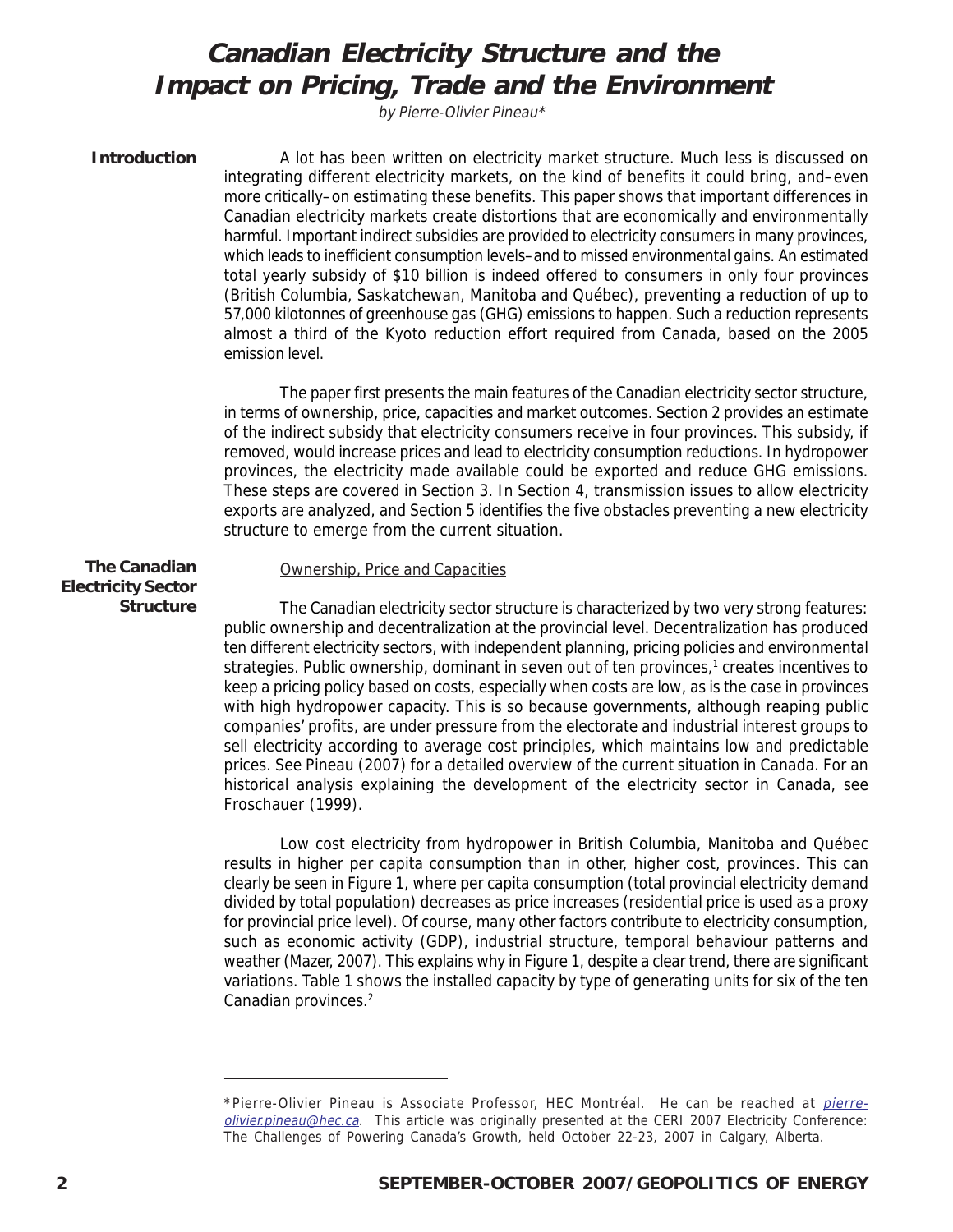## **Canadian Electricity Structure and the Impact on Pricing, Trade and the Environment**

by Pierre-Olivier Pineau\*

#### **Introduction**

A lot has been written on electricity market structure. Much less is discussed on integrating different electricity markets, on the kind of benefits it could bring, and–even more critically–on estimating these benefits. This paper shows that important differences in Canadian electricity markets create distortions that are economically and environmentally harmful. Important indirect subsidies are provided to electricity consumers in many provinces, which leads to inefficient consumption levels–and to missed environmental gains. An estimated total yearly subsidy of \$10 billion is indeed offered to consumers in only four provinces (British Columbia, Saskatchewan, Manitoba and Québec), preventing a reduction of up to 57,000 kilotonnes of greenhouse gas (GHG) emissions to happen. Such a reduction represents almost a third of the Kyoto reduction effort required from Canada, based on the 2005 emission level.

The paper first presents the main features of the Canadian electricity sector structure, in terms of ownership, price, capacities and market outcomes. Section 2 provides an estimate of the indirect subsidy that electricity consumers receive in four provinces. This subsidy, if removed, would increase prices and lead to electricity consumption reductions. In hydropower provinces, the electricity made available could be exported and reduce GHG emissions. These steps are covered in Section 3. In Section 4, transmission issues to allow electricity exports are analyzed, and Section 5 identifies the five obstacles preventing a new electricity structure to emerge from the current situation.

#### **The Canadian Electricity Sector Structure**

#### Ownership, Price and Capacities

The Canadian electricity sector structure is characterized by two very strong features: public ownership and decentralization at the provincial level. Decentralization has produced ten different electricity sectors, with independent planning, pricing policies and environmental strategies. Public ownership, dominant in seven out of ten provinces,<sup>1</sup> creates incentives to keep a pricing policy based on costs, especially when costs are low, as is the case in provinces with high hydropower capacity. This is so because governments, although reaping public companies' profits, are under pressure from the electorate and industrial interest groups to sell electricity according to average cost principles, which maintains low and predictable prices. See Pineau (2007) for a detailed overview of the current situation in Canada. For an historical analysis explaining the development of the electricity sector in Canada, see Froschauer (1999).

Low cost electricity from hydropower in British Columbia, Manitoba and Québec results in higher per capita consumption than in other, higher cost, provinces. This can clearly be seen in Figure 1, where per capita consumption (total provincial electricity demand divided by total population) decreases as price increases (residential price is used as a proxy for provincial price level). Of course, many other factors contribute to electricity consumption, such as economic activity (GDP), industrial structure, temporal behaviour patterns and weather (Mazer, 2007). This explains why in Figure 1, despite a clear trend, there are significant variations. Table 1 shows the installed capacity by type of generating units for six of the ten Canadian provinces.2

<sup>\*</sup>Pierre-Olivier Pineau is Associate Professor, HEC Montréal. He can be reached at *pierre*olivier.pineau@hec.ca. This article was originally presented at the CERI 2007 Electricity Conference: The Challenges of Powering Canada's Growth, held October 22-23, 2007 in Calgary, Alberta.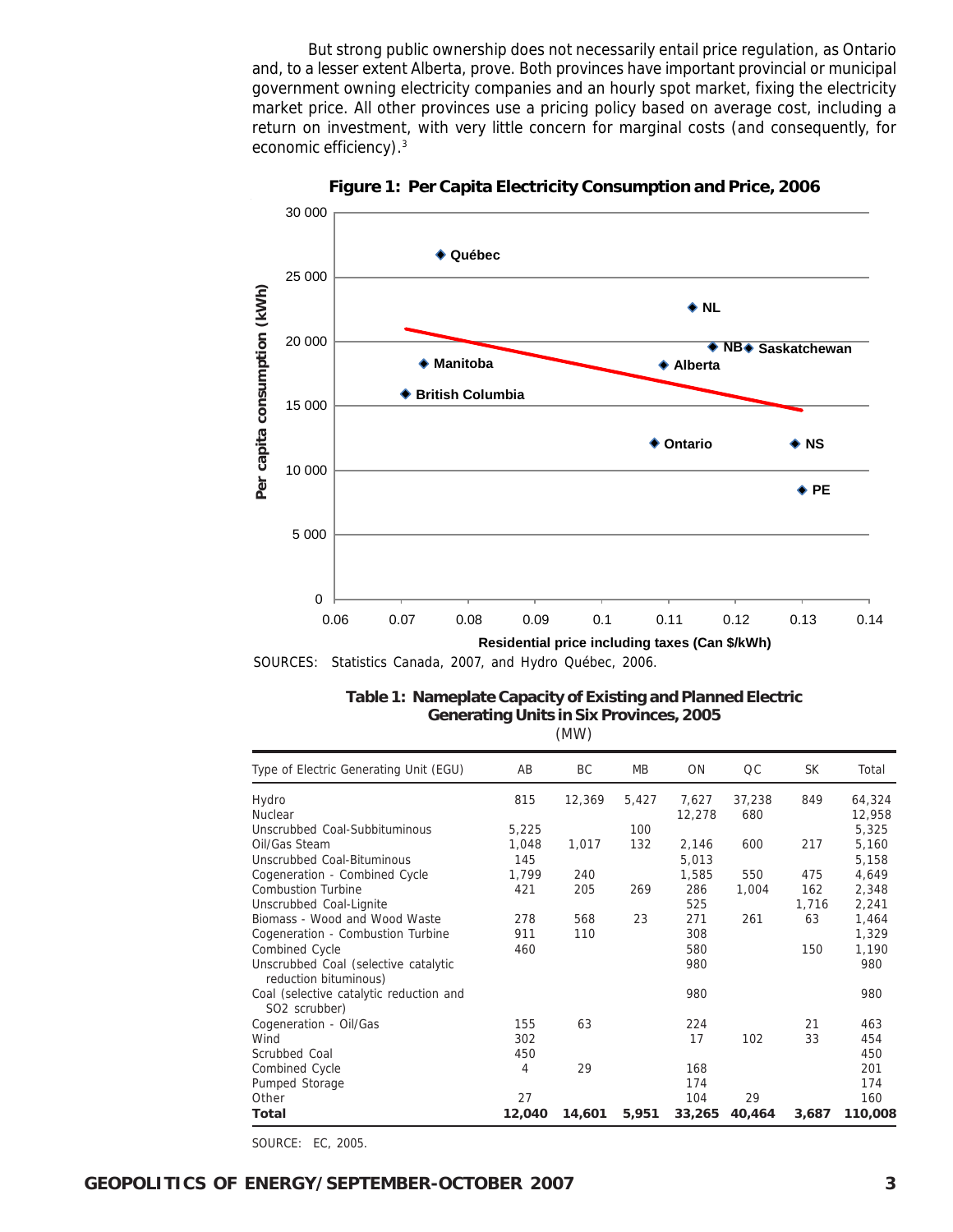But strong public ownership does not necessarily entail price regulation, as Ontario and, to a lesser extent Alberta, prove. Both provinces have important provincial or municipal government owning electricity companies and an hourly spot market, fixing the electricity market price. All other provinces use a pricing policy based on average cost, including a return on investment, with very little concern for marginal costs (and consequently, for economic efficiency).3



**Figure 1: Per Capita Electricity Consumption and Price, 2006**

SOURCES: Statistics Canada, 2007, and Hydro Québec, 2006.

| Table 1: Nameplate Capacity of Existing and Planned Electric |
|--------------------------------------------------------------|
| <b>Generating Units in Six Provinces, 2005</b>               |
| (MW)                                                         |

| Type of Electric Generating Unit (EGU)                               | AB     | ВC     | <b>MB</b> | <b>ON</b> | QC     | <b>SK</b> | Total   |
|----------------------------------------------------------------------|--------|--------|-----------|-----------|--------|-----------|---------|
| Hydro                                                                | 815    | 12,369 | 5,427     | 7,627     | 37,238 | 849       | 64,324  |
| <b>Nuclear</b>                                                       |        |        |           | 12,278    | 680    |           | 12,958  |
| Unscrubbed Coal-Subbituminous                                        | 5,225  |        | 100       |           |        |           | 5,325   |
| Oil/Gas Steam                                                        | 1,048  | 1,017  | 132       | 2,146     | 600    | 217       | 5,160   |
| Unscrubbed Coal-Bituminous                                           | 145    |        |           | 5,013     |        |           | 5,158   |
| Cogeneration - Combined Cycle                                        | 1,799  | 240    |           | 1,585     | 550    | 475       | 4,649   |
| <b>Combustion Turbine</b>                                            | 421    | 205    | 269       | 286       | 1,004  | 162       | 2,348   |
| Unscrubbed Coal-Lignite                                              |        |        |           | 525       |        | 1,716     | 2,241   |
| Biomass - Wood and Wood Waste                                        | 278    | 568    | 23        | 271       | 261    | 63        | 1,464   |
| Cogeneration - Combustion Turbine                                    | 911    | 110    |           | 308       |        |           | 1,329   |
| Combined Cycle                                                       | 460    |        |           | 580       |        | 150       | 1,190   |
| Unscrubbed Coal (selective catalytic<br>reduction bituminous)        |        |        |           | 980       |        |           | 980     |
| Coal (selective catalytic reduction and<br>SO <sub>2</sub> scrubber) |        |        |           | 980       |        |           | 980     |
| Cogeneration - Oil/Gas                                               | 155    | 63     |           | 224       |        | 21        | 463     |
| Wind                                                                 | 302    |        |           | 17        | 102    | 33        | 454     |
| Scrubbed Coal                                                        | 450    |        |           |           |        |           | 450     |
| Combined Cycle                                                       | 4      | 29     |           | 168       |        |           | 201     |
| Pumped Storage                                                       |        |        |           | 174       |        |           | 174     |
| Other                                                                | 27     |        |           | 104       | 29     |           | 160     |
| Total                                                                | 12,040 | 14,601 | 5,951     | 33,265    | 40,464 | 3,687     | 110,008 |

SOURCE: EC, 2005.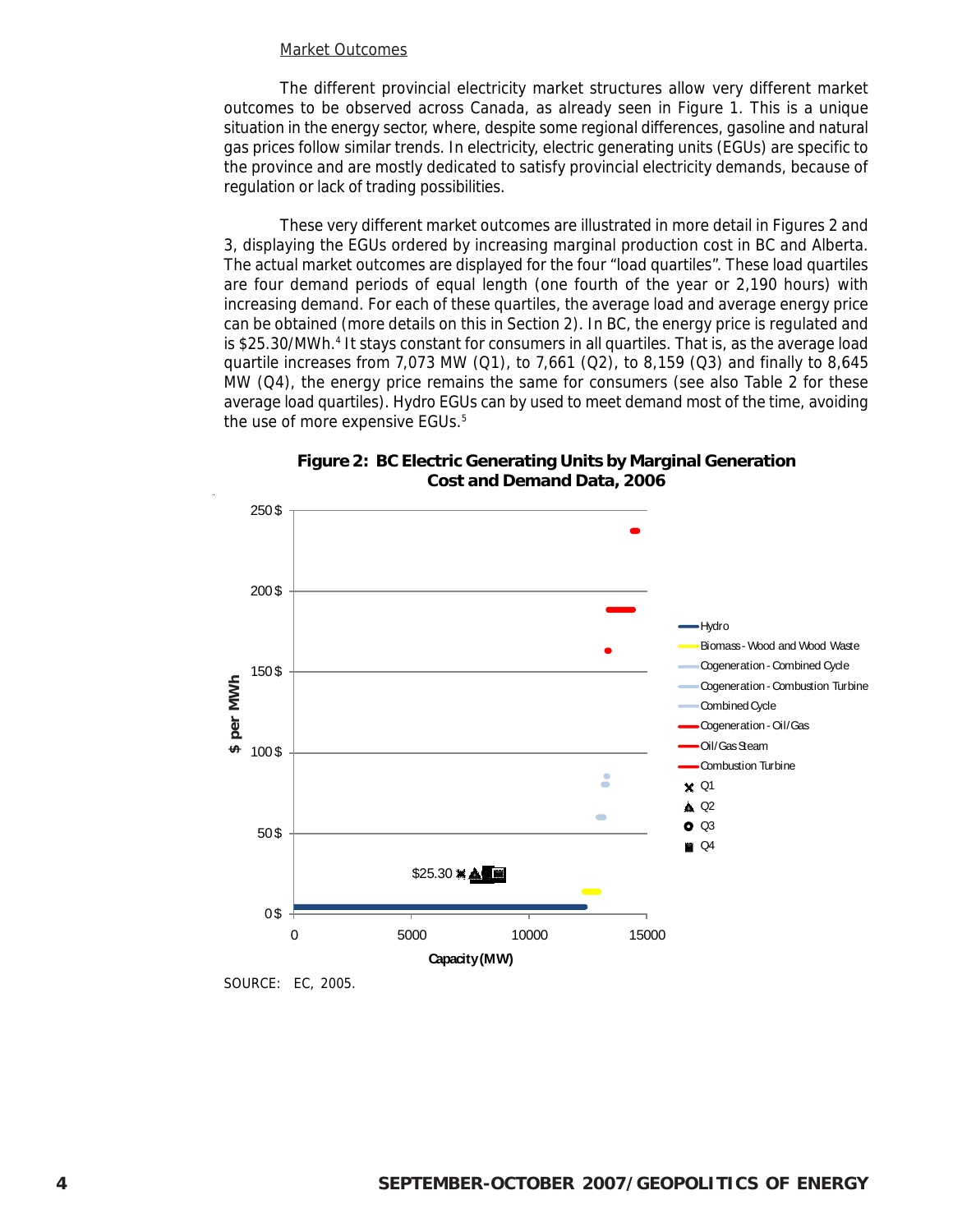#### Market Outcomes

The different provincial electricity market structures allow very different market outcomes to be observed across Canada, as already seen in Figure 1. This is a unique situation in the energy sector, where, despite some regional differences, gasoline and natural gas prices follow similar trends. In electricity, electric generating units (EGUs) are specific to the province and are mostly dedicated to satisfy provincial electricity demands, because of regulation or lack of trading possibilities.

These very different market outcomes are illustrated in more detail in Figures 2 and 3, displaying the EGUs ordered by increasing marginal production cost in BC and Alberta. The actual market outcomes are displayed for the four "load quartiles". These load quartiles are four demand periods of equal length (one fourth of the year or 2,190 hours) with increasing demand. For each of these quartiles, the average load and average energy price can be obtained (more details on this in Section 2). In BC, the energy price is regulated and is \$25.30/MWh.<sup>4</sup> It stays constant for consumers in all quartiles. That is, as the average load quartile increases from 7,073 MW (Q1), to 7,661 (Q2), to 8,159 (Q3) and finally to 8,645 MW (Q4), the energy price remains the same for consumers (see also Table 2 for these average load quartiles). Hydro EGUs can by used to meet demand most of the time, avoiding the use of more expensive EGUs.<sup>5</sup>





SOURCE: EC, 2005.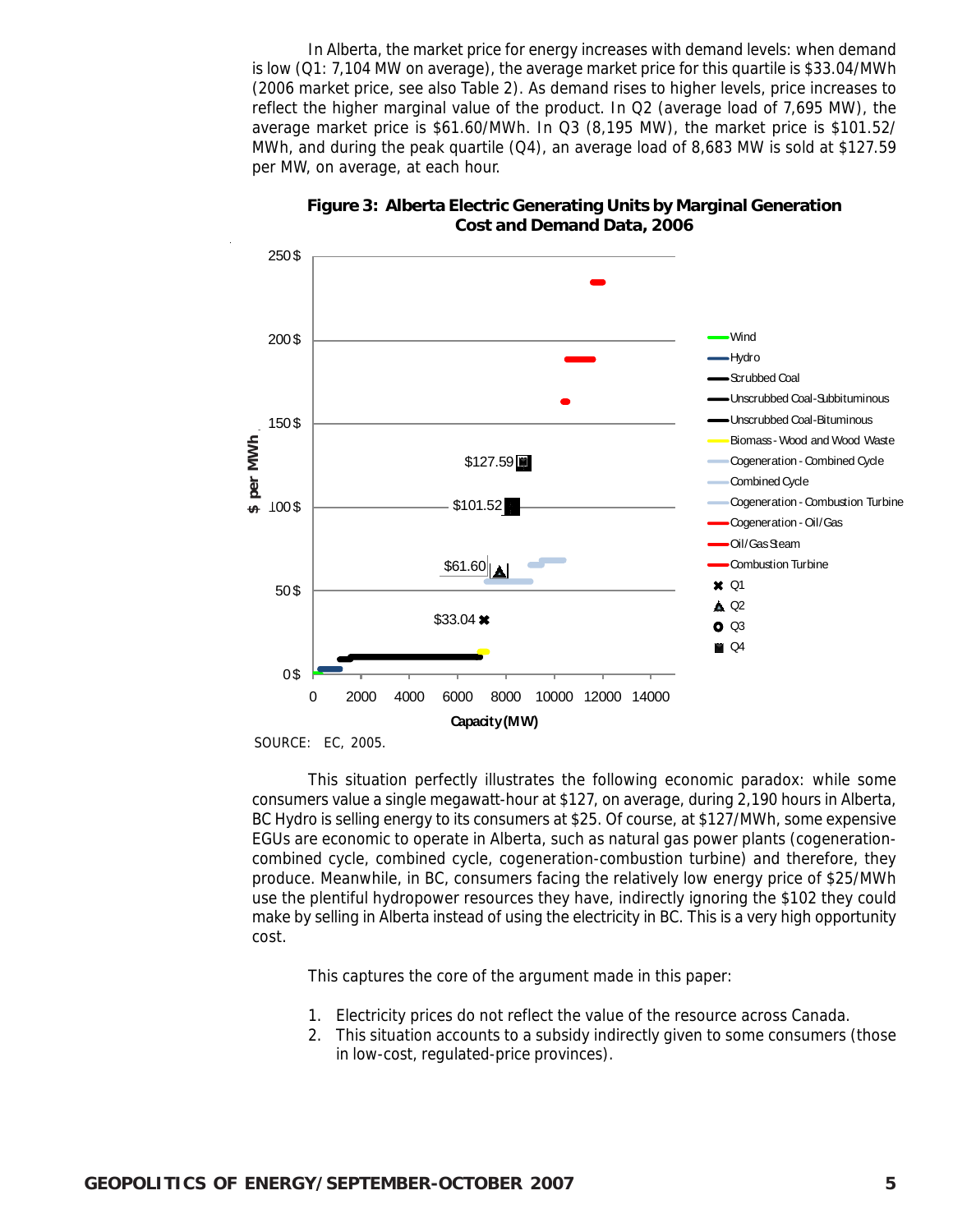In Alberta, the market price for energy increases with demand levels: when demand is low (Q1: 7,104 MW on average), the average market price for this quartile is \$33.04/MWh (2006 market price, see also Table 2). As demand rises to higher levels, price increases to reflect the higher marginal value of the product. In Q2 (average load of 7,695 MW), the average market price is \$61.60/MWh. In Q3 (8,195 MW), the market price is \$101.52/ MWh, and during the peak quartile  $(Q4)$ , an average load of 8,683 MW is sold at \$127.59 per MW, on average, at each hour.



**Figure 3: Alberta Electric Generating Units by Marginal Generation Cost and Demand Data, 2006**

This situation perfectly illustrates the following economic paradox: while some consumers value a single megawatt-hour at \$127, on average, during 2,190 hours in Alberta, BC Hydro is selling energy to its consumers at \$25. Of course, at \$127/MWh, some expensive EGUs are economic to operate in Alberta, such as natural gas power plants (cogenerationcombined cycle, combined cycle, cogeneration-combustion turbine) and therefore, they produce. Meanwhile, in BC, consumers facing the relatively low energy price of \$25/MWh use the plentiful hydropower resources they have, indirectly ignoring the \$102 they could make by selling in Alberta instead of using the electricity in BC. This is a very high opportunity cost.

This captures the core of the argument made in this paper:

- 1. Electricity prices do not reflect the value of the resource across Canada.
- 2. This situation accounts to a subsidy indirectly given to some consumers (those in low-cost, regulated-price provinces).

SOURCE: EC, 2005.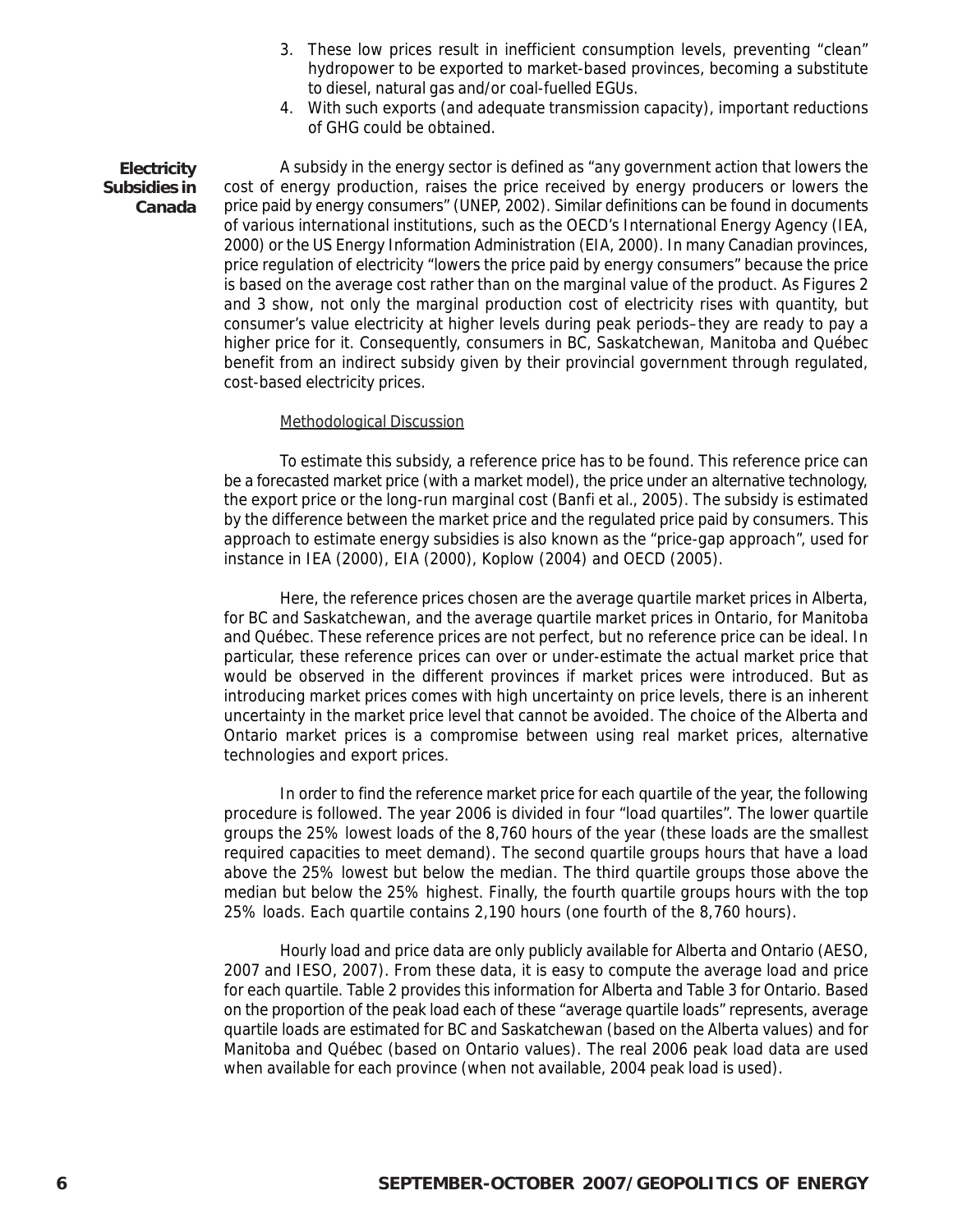- 3. These low prices result in inefficient consumption levels, preventing "clean" hydropower to be exported to market-based provinces, becoming a substitute to diesel, natural gas and/or coal-fuelled EGUs.
- 4. With such exports (and adequate transmission capacity), important reductions of GHG could be obtained.

A subsidy in the energy sector is defined as "any government action that lowers the cost of energy production, raises the price received by energy producers or lowers the price paid by energy consumers" (UNEP, 2002). Similar definitions can be found in documents of various international institutions, such as the OECD's International Energy Agency (IEA, 2000) or the US Energy Information Administration (EIA, 2000). In many Canadian provinces, price regulation of electricity "lowers the price paid by energy consumers" because the price is based on the average cost rather than on the marginal value of the product. As Figures 2 and 3 show, not only the marginal production cost of electricity rises with quantity, but consumer's value electricity at higher levels during peak periods–they are ready to pay a higher price for it. Consequently, consumers in BC, Saskatchewan, Manitoba and Québec benefit from an indirect subsidy given by their provincial government through regulated, cost-based electricity prices. **Electricity Subsidies in Canada**

#### Methodological Discussion

To estimate this subsidy, a reference price has to be found. This reference price can be a forecasted market price (with a market model), the price under an alternative technology, the export price or the long-run marginal cost (Banfi et al., 2005). The subsidy is estimated by the difference between the market price and the regulated price paid by consumers. This approach to estimate energy subsidies is also known as the "price-gap approach", used for instance in IEA (2000), EIA (2000), Koplow (2004) and OECD (2005).

Here, the reference prices chosen are the average quartile market prices in Alberta, for BC and Saskatchewan, and the average quartile market prices in Ontario, for Manitoba and Québec. These reference prices are not perfect, but no reference price can be ideal. In particular, these reference prices can over or under-estimate the actual market price that would be observed in the different provinces if market prices were introduced. But as introducing market prices comes with high uncertainty on price levels, there is an inherent uncertainty in the market price level that cannot be avoided. The choice of the Alberta and Ontario market prices is a compromise between using real market prices, alternative technologies and export prices.

In order to find the reference market price for each quartile of the year, the following procedure is followed. The year 2006 is divided in four "load quartiles". The lower quartile groups the 25% lowest loads of the 8,760 hours of the year (these loads are the smallest required capacities to meet demand). The second quartile groups hours that have a load above the 25% lowest but below the median. The third quartile groups those above the median but below the 25% highest. Finally, the fourth quartile groups hours with the top 25% loads. Each quartile contains 2,190 hours (one fourth of the 8,760 hours).

Hourly load and price data are only publicly available for Alberta and Ontario (AESO, 2007 and IESO, 2007). From these data, it is easy to compute the average load and price for each quartile. Table 2 provides this information for Alberta and Table 3 for Ontario. Based on the proportion of the peak load each of these "average quartile loads" represents, average quartile loads are estimated for BC and Saskatchewan (based on the Alberta values) and for Manitoba and Québec (based on Ontario values). The real 2006 peak load data are used when available for each province (when not available, 2004 peak load is used).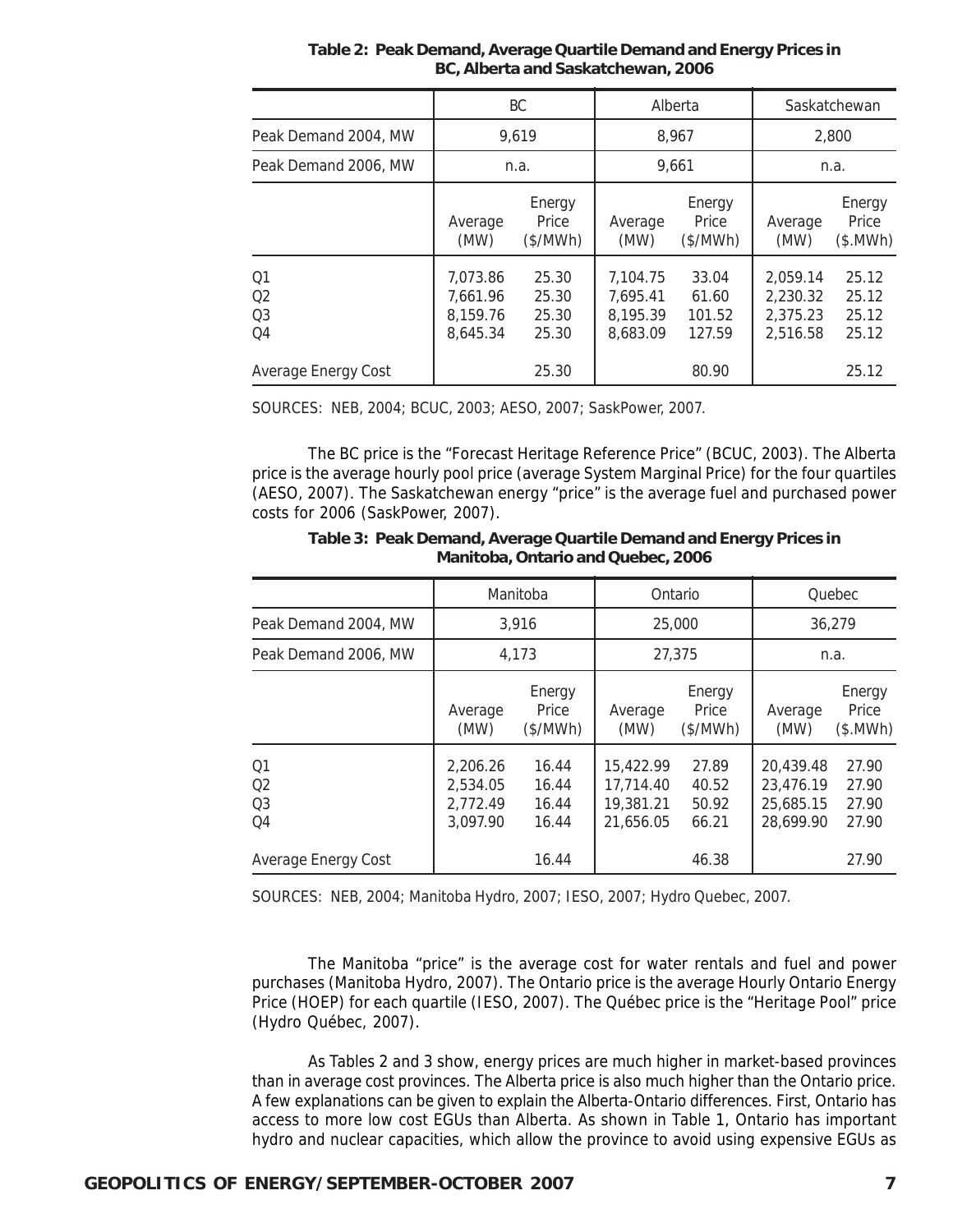|                                                          | BC.                                          |                                  | Alberta                                      |                                    | Saskatchewan                                 |                                  |
|----------------------------------------------------------|----------------------------------------------|----------------------------------|----------------------------------------------|------------------------------------|----------------------------------------------|----------------------------------|
| Peak Demand 2004, MW                                     | 9,619                                        |                                  | 8.967                                        |                                    | 2,800                                        |                                  |
| Peak Demand 2006, MW                                     | n.a.                                         |                                  | 9,661                                        |                                    | n.a.                                         |                                  |
|                                                          | Average<br>(MW)                              | Energy<br>Price<br>(\$/MWh)      | Average<br>(MW)                              | Energy<br>Price<br>(\$/MWh)        | Average<br>(MW)                              | Energy<br>Price<br>(\$.MWh)      |
| O <sub>1</sub><br>Q <sub>2</sub><br>O <sub>3</sub><br>Q4 | 7,073.86<br>7.661.96<br>8,159.76<br>8,645.34 | 25.30<br>25.30<br>25.30<br>25.30 | 7.104.75<br>7,695.41<br>8,195.39<br>8,683.09 | 33.04<br>61.60<br>101.52<br>127.59 | 2,059.14<br>2,230.32<br>2.375.23<br>2,516.58 | 25.12<br>25.12<br>25.12<br>25.12 |
| Average Energy Cost                                      |                                              | 25.30                            |                                              | 80.90                              |                                              | 25.12                            |

**Table 2: Peak Demand, Average Quartile Demand and Energy Prices in BC, Alberta and Saskatchewan, 2006**

SOURCES: NEB, 2004; BCUC, 2003; AESO, 2007; SaskPower, 2007.

The BC price is the "Forecast Heritage Reference Price" (BCUC, 2003). The Alberta price is the average hourly pool price (average System Marginal Price) for the four quartiles (AESO, 2007). The Saskatchewan energy "price" is the average fuel and purchased power costs for 2006 (SaskPower, 2007).

|                                                          | Manitoba                                     |                                  | Ontario                                          |                                  | Quebec                                           |                                  |
|----------------------------------------------------------|----------------------------------------------|----------------------------------|--------------------------------------------------|----------------------------------|--------------------------------------------------|----------------------------------|
| Peak Demand 2004, MW                                     | 3.916                                        |                                  | 25,000                                           |                                  | 36.279                                           |                                  |
| Peak Demand 2006, MW                                     | 4.173                                        |                                  | 27.375                                           |                                  | n.a.                                             |                                  |
|                                                          | Average<br>(MW)                              | Energy<br>Price<br>(\$/MWh)      | Average<br>(MW)                                  | Energy<br>Price<br>(\$/MWh)      | Average<br>(MW)                                  | Energy<br>Price<br>(\$.MWh)      |
| O <sub>1</sub><br>O <sub>2</sub><br>O <sub>3</sub><br>Q4 | 2.206.26<br>2,534.05<br>2,772.49<br>3,097.90 | 16.44<br>16.44<br>16.44<br>16.44 | 15,422.99<br>17.714.40<br>19,381.21<br>21,656.05 | 27.89<br>40.52<br>50.92<br>66.21 | 20,439.48<br>23,476.19<br>25,685.15<br>28,699.90 | 27.90<br>27.90<br>27.90<br>27.90 |
| Average Energy Cost                                      |                                              | 16.44                            |                                                  | 46.38                            |                                                  | 27.90                            |

**Table 3: Peak Demand, Average Quartile Demand and Energy Prices in Manitoba, Ontario and Quebec, 2006**

SOURCES: NEB, 2004; Manitoba Hydro, 2007; IESO, 2007; Hydro Quebec, 2007.

The Manitoba "price" is the average cost for water rentals and fuel and power purchases (Manitoba Hydro, 2007). The Ontario price is the average Hourly Ontario Energy Price (HOEP) for each quartile (IESO, 2007). The Québec price is the "Heritage Pool" price (Hydro Québec, 2007).

As Tables 2 and 3 show, energy prices are much higher in market-based provinces than in average cost provinces. The Alberta price is also much higher than the Ontario price. A few explanations can be given to explain the Alberta-Ontario differences. First, Ontario has access to more low cost EGUs than Alberta. As shown in Table 1, Ontario has important hydro and nuclear capacities, which allow the province to avoid using expensive EGUs as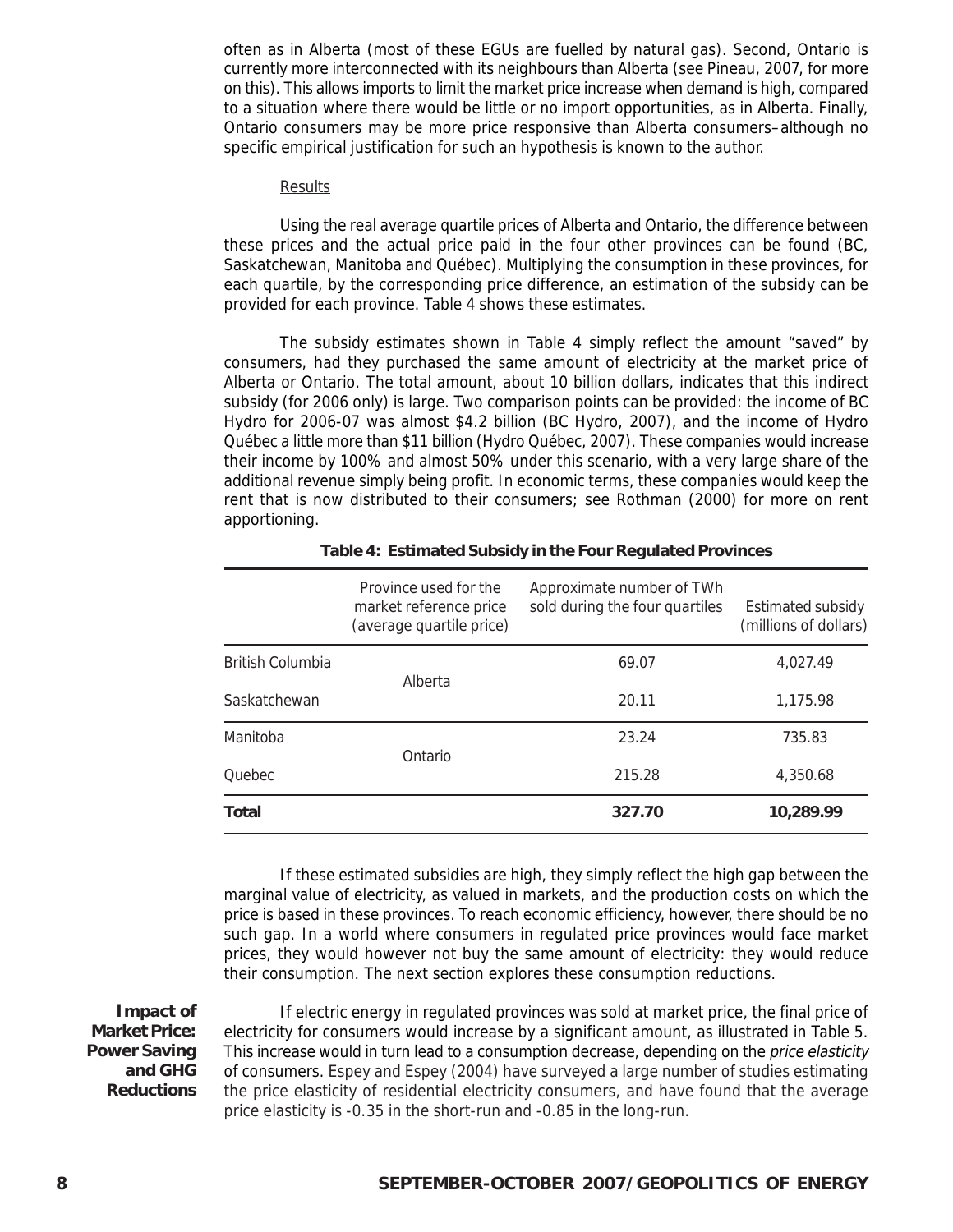often as in Alberta (most of these EGUs are fuelled by natural gas). Second, Ontario is currently more interconnected with its neighbours than Alberta (see Pineau, 2007, for more on this). This allows imports to limit the market price increase when demand is high, compared to a situation where there would be little or no import opportunities, as in Alberta. Finally, Ontario consumers may be more price responsive than Alberta consumers–although no specific empirical justification for such an hypothesis is known to the author.

#### **Results**

Using the real average quartile prices of Alberta and Ontario, the difference between these prices and the actual price paid in the four other provinces can be found (BC, Saskatchewan, Manitoba and Québec). Multiplying the consumption in these provinces, for each quartile, by the corresponding price difference, an estimation of the subsidy can be provided for each province. Table 4 shows these estimates.

The subsidy estimates shown in Table 4 simply reflect the amount "saved" by consumers, had they purchased the same amount of electricity at the market price of Alberta or Ontario. The total amount, about 10 billion dollars, indicates that this indirect subsidy (for 2006 only) is large. Two comparison points can be provided: the income of BC Hydro for 2006-07 was almost \$4.2 billion (BC Hydro, 2007), and the income of Hydro Québec a little more than \$11 billion (Hydro Québec, 2007). These companies would increase their income by 100% and almost 50% under this scenario, with a very large share of the additional revenue simply being profit. In economic terms, these companies would keep the rent that is now distributed to their consumers; see Rothman (2000) for more on rent apportioning.

| Manitoba<br><b>Ouebec</b> | Ontario                                                                     | 23.24<br>215.28                                             | 735.83<br>4,350.68                                |
|---------------------------|-----------------------------------------------------------------------------|-------------------------------------------------------------|---------------------------------------------------|
| Saskatchewan              |                                                                             | 20.11                                                       | 1,175.98                                          |
| <b>British Columbia</b>   | Alberta                                                                     | 69.07                                                       | 4.027.49                                          |
|                           | Province used for the<br>market reference price<br>(average quartile price) | Approximate number of TWh<br>sold during the four quartiles | <b>Estimated subsidy</b><br>(millions of dollars) |

If these estimated subsidies are high, they simply reflect the high gap between the marginal value of electricity, as valued in markets, and the production costs on which the price is based in these provinces. To reach economic efficiency, however, there should be no such gap. In a world where consumers in regulated price provinces would face market prices, they would however not buy the same amount of electricity: they would reduce their consumption. The next section explores these consumption reductions.

**Impact of Market Price: Power Saving and GHG Reductions**

If electric energy in regulated provinces was sold at market price, the final price of electricity for consumers would increase by a significant amount, as illustrated in Table 5. This increase would in turn lead to a consumption decrease, depending on the price elasticity of consumers. Espey and Espey (2004) have surveyed a large number of studies estimating the price elasticity of residential electricity consumers, and have found that the average price elasticity is -0.35 in the short-run and -0.85 in the long-run.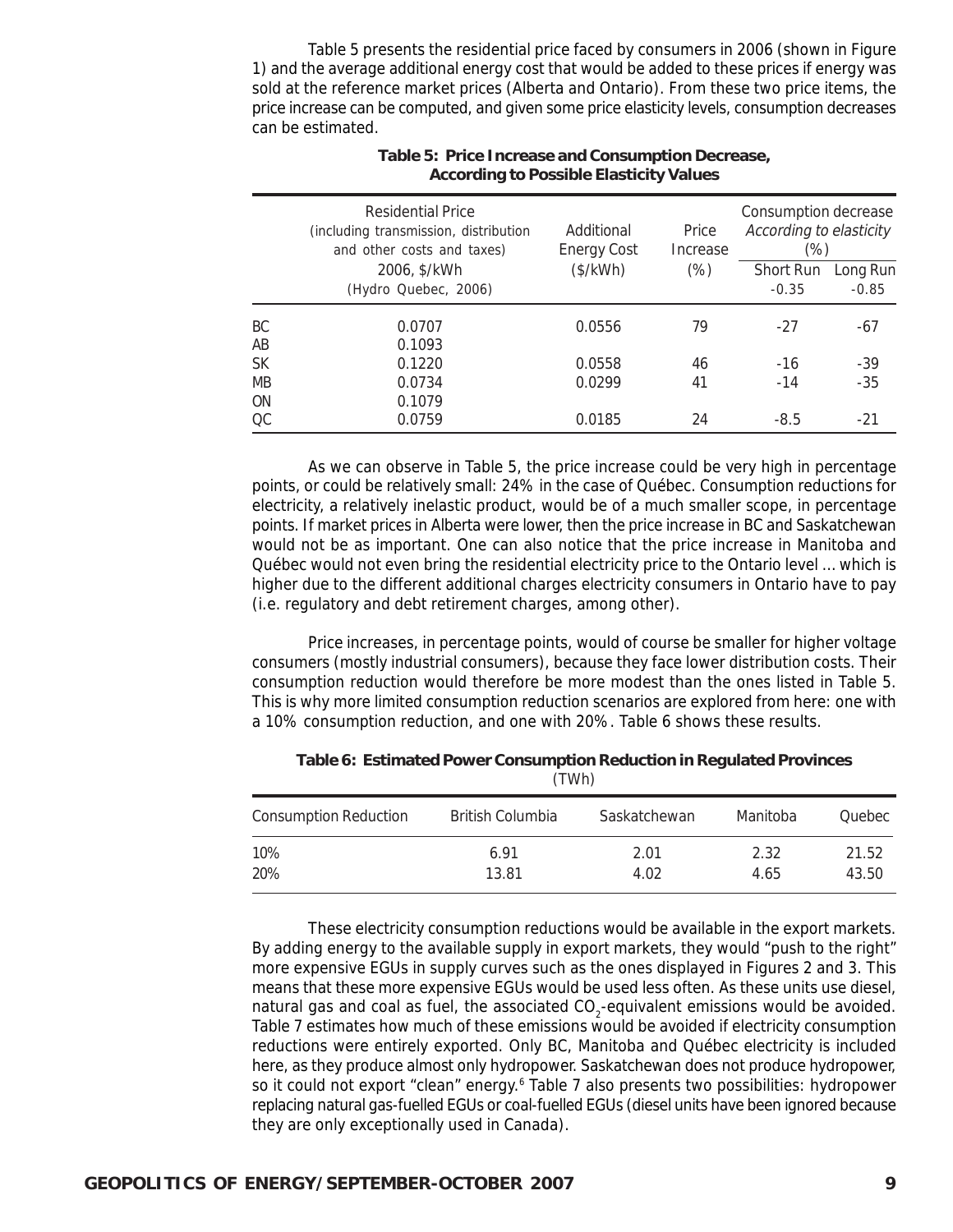Table 5 presents the residential price faced by consumers in 2006 (shown in Figure 1) and the average additional energy cost that would be added to these prices if energy was sold at the reference market prices (Alberta and Ontario). From these two price items, the price increase can be computed, and given some price elasticity levels, consumption decreases can be estimated.

|           | Residential Price<br>(including transmission, distribution<br>and other costs and taxes) | Additional<br><b>Energy Cost</b> | Price<br>Increase | Consumption decrease<br>According to elasticity<br>$(\%)$ |          |
|-----------|------------------------------------------------------------------------------------------|----------------------------------|-------------------|-----------------------------------------------------------|----------|
|           | 2006, \$/kWh                                                                             | (\$/kWh)                         | $(\%)$            | Short Run                                                 | Long Run |
|           | (Hydro Quebec, 2006)                                                                     |                                  |                   | $-0.35$                                                   | $-0.85$  |
| <b>BC</b> | 0.0707                                                                                   | 0.0556                           | 79                | $-27$                                                     | $-67$    |
| AB        | 0.1093                                                                                   |                                  |                   |                                                           |          |
| <b>SK</b> | 0.1220                                                                                   | 0.0558                           | 46                | $-16$                                                     | $-39$    |
| <b>MB</b> | 0.0734                                                                                   | 0.0299                           | 41                | $-14$                                                     | $-35$    |
| <b>ON</b> | 0.1079                                                                                   |                                  |                   |                                                           |          |
| OC.       | 0.0759                                                                                   | 0.0185                           | 24                | $-8.5$                                                    | $-21$    |

#### **Table 5: Price Increase and Consumption Decrease, According to Possible Elasticity Values**

As we can observe in Table 5, the price increase could be very high in percentage points, or could be relatively small: 24% in the case of Québec. Consumption reductions for electricity, a relatively inelastic product, would be of a much smaller scope, in percentage points. If market prices in Alberta were lower, then the price increase in BC and Saskatchewan would not be as important. One can also notice that the price increase in Manitoba and Québec would not even bring the residential electricity price to the Ontario level … which is higher due to the different additional charges electricity consumers in Ontario have to pay (i.e. regulatory and debt retirement charges, among other).

Price increases, in percentage points, would of course be smaller for higher voltage consumers (mostly industrial consumers), because they face lower distribution costs. Their consumption reduction would therefore be more modest than the ones listed in Table 5. This is why more limited consumption reduction scenarios are explored from here: one with a 10% consumption reduction, and one with 20%. Table 6 shows these results.

|                              | , <i>.</i>              |              |              |                |
|------------------------------|-------------------------|--------------|--------------|----------------|
| <b>Consumption Reduction</b> | <b>British Columbia</b> | Saskatchewan | Manitoba     | Quebec         |
| 10%<br>20%                   | 6.91<br>13.81           | 2.01<br>4.02 | 2.32<br>4.65 | 21.52<br>43.50 |

**Table 6: Estimated Power Consumption Reduction in Regulated Provinces**  $(TIMh)$ 

These electricity consumption reductions would be available in the export markets. By adding energy to the available supply in export markets, they would "push to the right" more expensive EGUs in supply curves such as the ones displayed in Figures 2 and 3. This means that these more expensive EGUs would be used less often. As these units use diesel, natural gas and coal as fuel, the associated  $\text{CO}_2$ -equivalent emissions would be avoided. Table 7 estimates how much of these emissions would be avoided if electricity consumption reductions were entirely exported. Only BC, Manitoba and Québec electricity is included here, as they produce almost only hydropower. Saskatchewan does not produce hydropower, so it could not export "clean" energy.<sup>6</sup> Table 7 also presents two possibilities: hydropower replacing natural gas-fuelled EGUs or coal-fuelled EGUs (diesel units have been ignored because they are only exceptionally used in Canada).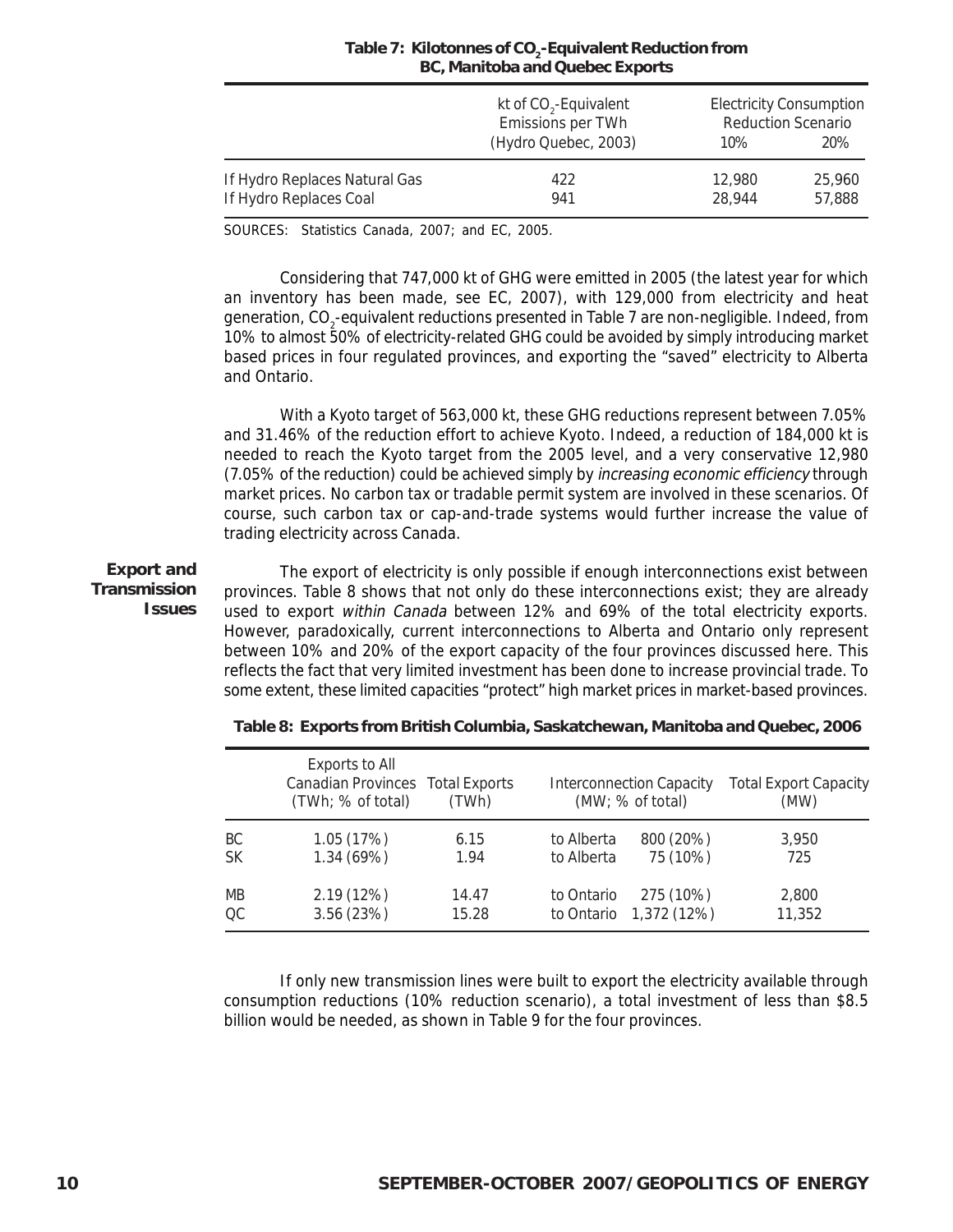|                               | kt of CO <sub>2</sub> -Equivalent<br>Emissions per TWh<br>(Hydro Quebec, 2003) | $10\%$ | <b>Electricity Consumption</b><br><b>Reduction Scenario</b><br>20% |
|-------------------------------|--------------------------------------------------------------------------------|--------|--------------------------------------------------------------------|
| If Hydro Replaces Natural Gas | 422                                                                            | 12,980 | 25,960                                                             |
| If Hydro Replaces Coal        | 941                                                                            | 28.944 | 57,888                                                             |

#### Table 7: Kilotonnes of CO<sub>2</sub>-Equivalent Reduction from **BC, Manitoba and Quebec Exports**

SOURCES: Statistics Canada, 2007; and EC, 2005.

Considering that 747,000 kt of GHG were emitted in 2005 (the latest year for which an inventory has been made, see EC, 2007), with 129,000 from electricity and heat generation, CO<sub>2</sub>-equivalent reductions presented in Table 7 are non-negligible. Indeed, from 10% to almost 50% of electricity-related GHG could be avoided by simply introducing market based prices in four regulated provinces, and exporting the "saved" electricity to Alberta and Ontario.

With a Kyoto target of 563,000 kt, these GHG reductions represent between 7.05% and 31.46% of the reduction effort to achieve Kyoto. Indeed, a reduction of 184,000 kt is needed to reach the Kyoto target from the 2005 level, and a very conservative 12,980 (7.05% of the reduction) could be achieved simply by *increasing economic efficiency* through market prices. No carbon tax or tradable permit system are involved in these scenarios. Of course, such carbon tax or cap-and-trade systems would further increase the value of trading electricity across Canada.

The export of electricity is only possible if enough interconnections exist between provinces. Table 8 shows that not only do these interconnections exist; they are already used to export within Canada between 12% and 69% of the total electricity exports. However, paradoxically, current interconnections to Alberta and Ontario only represent between 10% and 20% of the export capacity of the four provinces discussed here. This reflects the fact that very limited investment has been done to increase provincial trade. To some extent, these limited capacities "protect" high market prices in market-based provinces. **Export and Transmission Issues**

|           | <b>Exports to All</b><br>Canadian Provinces Total Exports<br>(TWh; % of total) | (TWh) |            | <b>Interconnection Capacity</b><br>(MW; % of total) | <b>Total Export Capacity</b><br>(MW) |
|-----------|--------------------------------------------------------------------------------|-------|------------|-----------------------------------------------------|--------------------------------------|
| ВC        | 1.05(17%)                                                                      | 6.15  | to Alberta | 800 (20%)                                           | 3,950                                |
| <b>SK</b> | 1.34(69%)                                                                      | 1.94  | to Alberta | 75 (10%)                                            | 725                                  |
| <b>MB</b> | 2.19(12%)                                                                      | 14.47 | to Ontario | 275 (10%)                                           | 2,800                                |
| OC.       | 3.56(23%)                                                                      | 15.28 |            | to Ontario 1,372 (12%)                              | 11,352                               |

**Table 8: Exports from British Columbia, Saskatchewan, Manitoba and Quebec, 2006**

If only new transmission lines were built to export the electricity available through consumption reductions (10% reduction scenario), a total investment of less than \$8.5 billion would be needed, as shown in Table 9 for the four provinces.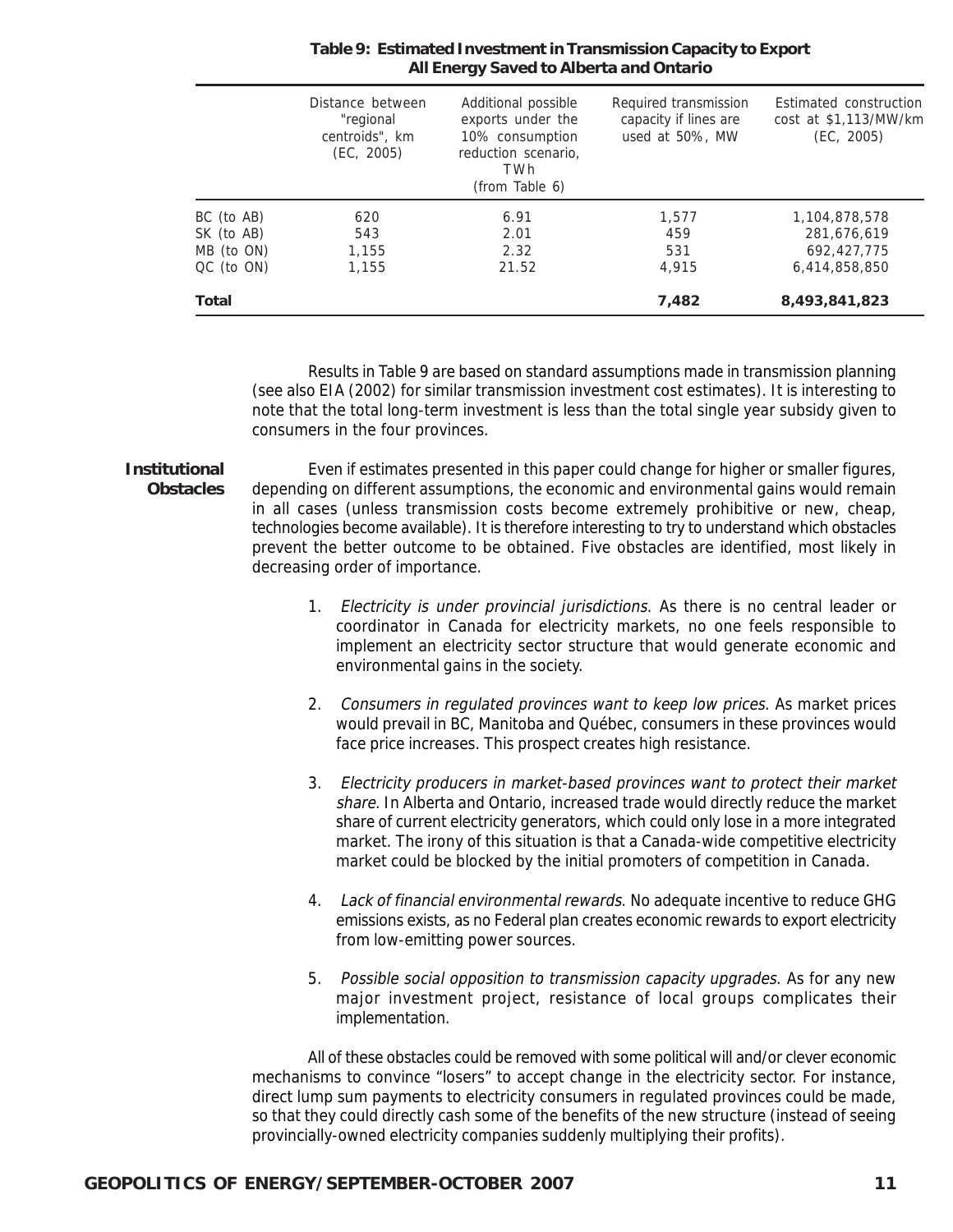|                 | Distance between<br>"regional<br>centroids", km<br>(EC, 2005) | Additional possible<br>exports under the<br>10% consumption<br>reduction scenario,<br>TWh<br>(from Table 6) | Required transmission<br>capacity if lines are<br>used at 50%, MW | Estimated construction<br>cost at \$1,113/MW/km<br>(EC, 2005) |
|-----------------|---------------------------------------------------------------|-------------------------------------------------------------------------------------------------------------|-------------------------------------------------------------------|---------------------------------------------------------------|
| BC (to AB)      | 620                                                           | 6.91                                                                                                        | 1.577                                                             | 1,104,878,578                                                 |
| SK (to AB)      | 543                                                           | 2.01                                                                                                        | 459                                                               | 281,676,619                                                   |
| MB (to ON)      | 1,155                                                         | 2.32                                                                                                        | 531                                                               | 692.427.775                                                   |
| $QC$ (to $ON$ ) | 1.155                                                         | 21.52                                                                                                       | 4.915                                                             | 6,414,858,850                                                 |
| <b>Total</b>    |                                                               |                                                                                                             | 7,482                                                             | 8,493,841,823                                                 |

#### **Table 9: Estimated Investment in Transmission Capacity to Export All Energy Saved to Alberta and Ontario**

Results in Table 9 are based on standard assumptions made in transmission planning (see also EIA (2002) for similar transmission investment cost estimates). It is interesting to note that the total long-term investment is less than the total single year subsidy given to consumers in the four provinces.

Even if estimates presented in this paper could change for higher or smaller figures, depending on different assumptions, the economic and environmental gains would remain in all cases (unless transmission costs become extremely prohibitive or new, cheap, technologies become available). It is therefore interesting to try to understand which obstacles prevent the better outcome to be obtained. Five obstacles are identified, most likely in decreasing order of importance. **Institutional Obstacles**

- 1. Electricity is under provincial jurisdictions. As there is no central leader or coordinator in Canada for electricity markets, no one feels responsible to implement an electricity sector structure that would generate economic and environmental gains in the society.
- 2. Consumers in regulated provinces want to keep low prices. As market prices would prevail in BC, Manitoba and Québec, consumers in these provinces would face price increases. This prospect creates high resistance.
- 3. Electricity producers in market-based provinces want to protect their market share. In Alberta and Ontario, increased trade would directly reduce the market share of current electricity generators, which could only lose in a more integrated market. The irony of this situation is that a Canada-wide competitive electricity market could be blocked by the initial promoters of competition in Canada.
- 4. Lack of financial environmental rewards. No adequate incentive to reduce GHG emissions exists, as no Federal plan creates economic rewards to export electricity from low-emitting power sources.
- 5. Possible social opposition to transmission capacity upgrades. As for any new major investment project, resistance of local groups complicates their implementation.

All of these obstacles could be removed with some political will and/or clever economic mechanisms to convince "losers" to accept change in the electricity sector. For instance, direct lump sum payments to electricity consumers in regulated provinces could be made, so that they could directly cash some of the benefits of the new structure (instead of seeing provincially-owned electricity companies suddenly multiplying their profits).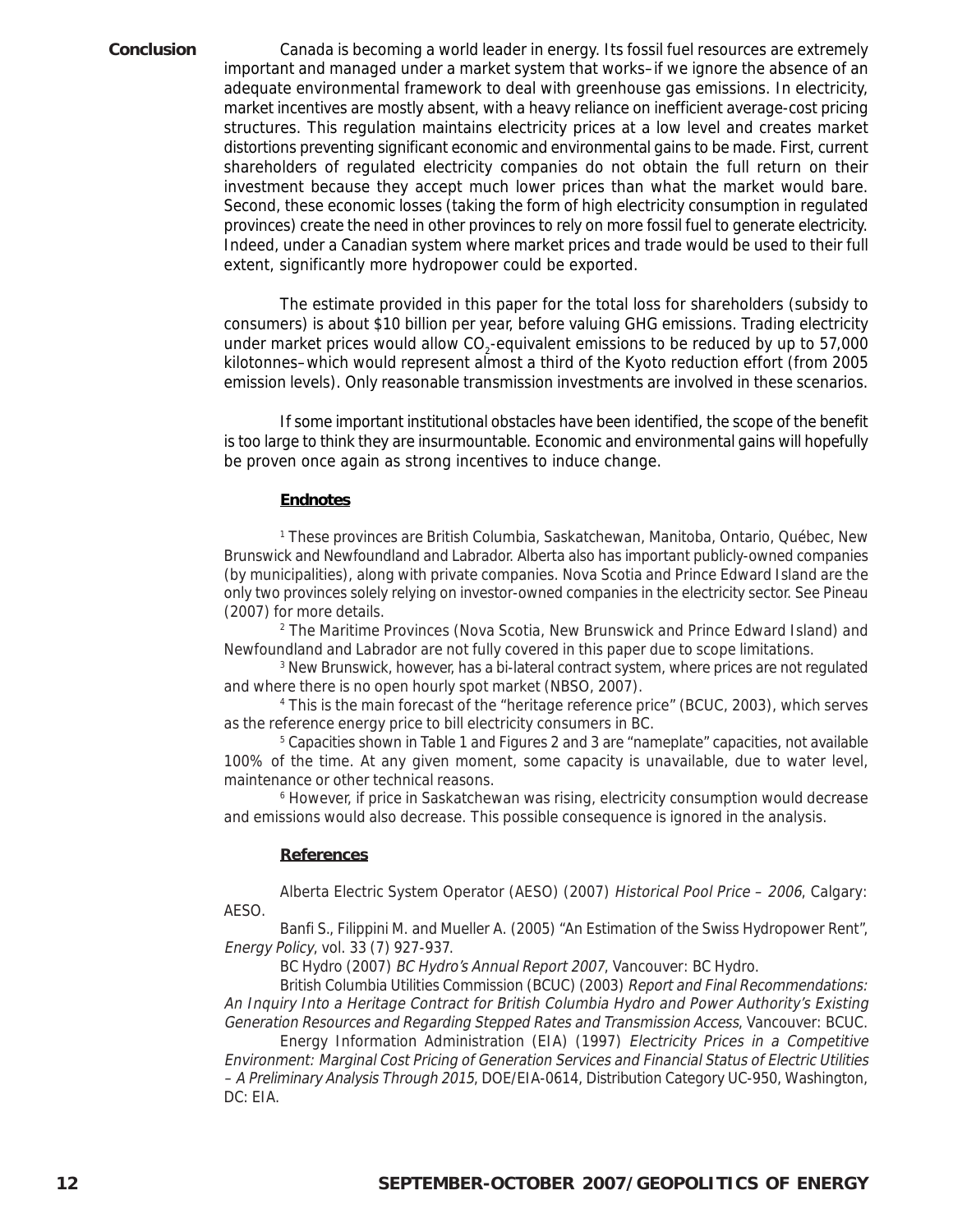Canada is becoming a world leader in energy. Its fossil fuel resources are extremely important and managed under a market system that works–if we ignore the absence of an adequate environmental framework to deal with greenhouse gas emissions. In electricity, market incentives are mostly absent, with a heavy reliance on inefficient average-cost pricing structures. This regulation maintains electricity prices at a low level and creates market distortions preventing significant economic and environmental gains to be made. First, current shareholders of regulated electricity companies do not obtain the full return on their investment because they accept much lower prices than what the market would bare. Second, these economic losses (taking the form of high electricity consumption in regulated provinces) create the need in other provinces to rely on more fossil fuel to generate electricity. Indeed, under a Canadian system where market prices and trade would be used to their full extent, significantly more hydropower could be exported.

The estimate provided in this paper for the total loss for shareholders (subsidy to consumers) is about \$10 billion per year, before valuing GHG emissions. Trading electricity under market prices would allow CO<sub>2</sub>-equivalent emissions to be reduced by up to 57,000 kilotonnes–which would represent almost a third of the Kyoto reduction effort (from 2005 emission levels). Only reasonable transmission investments are involved in these scenarios.

If some important institutional obstacles have been identified, the scope of the benefit is too large to think they are insurmountable. Economic and environmental gains will hopefully be proven once again as strong incentives to induce change.

#### **Endnotes**

1 These provinces are British Columbia, Saskatchewan, Manitoba, Ontario, Québec, New Brunswick and Newfoundland and Labrador. Alberta also has important publicly-owned companies (by municipalities), along with private companies. Nova Scotia and Prince Edward Island are the only two provinces solely relying on investor-owned companies in the electricity sector. See Pineau (2007) for more details.

2 The Maritime Provinces (Nova Scotia, New Brunswick and Prince Edward Island) and Newfoundland and Labrador are not fully covered in this paper due to scope limitations.

3 New Brunswick, however, has a bi-lateral contract system, where prices are not regulated and where there is no open hourly spot market (NBSO, 2007).

4 This is the main forecast of the "heritage reference price" (BCUC, 2003), which serves as the reference energy price to bill electricity consumers in BC.

5 Capacities shown in Table 1 and Figures 2 and 3 are "nameplate" capacities, not available 100% of the time. At any given moment, some capacity is unavailable, due to water level, maintenance or other technical reasons.

6 However, if price in Saskatchewan was rising, electricity consumption would decrease and emissions would also decrease. This possible consequence is ignored in the analysis.

#### **References**

Alberta Electric System Operator (AESO) (2007) Historical Pool Price – 2006, Calgary: AESO.

Banfi S., Filippini M. and Mueller A. (2005) "An Estimation of the Swiss Hydropower Rent", Energy Policy, vol. 33 (7) 927-937.

BC Hydro (2007) BC Hydro's Annual Report 2007, Vancouver: BC Hydro.

British Columbia Utilities Commission (BCUC) (2003) Report and Final Recommendations: An Inquiry Into a Heritage Contract for British Columbia Hydro and Power Authority's Existing Generation Resources and Regarding Stepped Rates and Transmission Access, Vancouver: BCUC.

Energy Information Administration (EIA) (1997) Electricity Prices in a Competitive Environment: Marginal Cost Pricing of Generation Services and Financial Status of Electric Utilities – A Preliminary Analysis Through 2015, DOE/EIA-0614, Distribution Category UC-950, Washington, DC: EIA.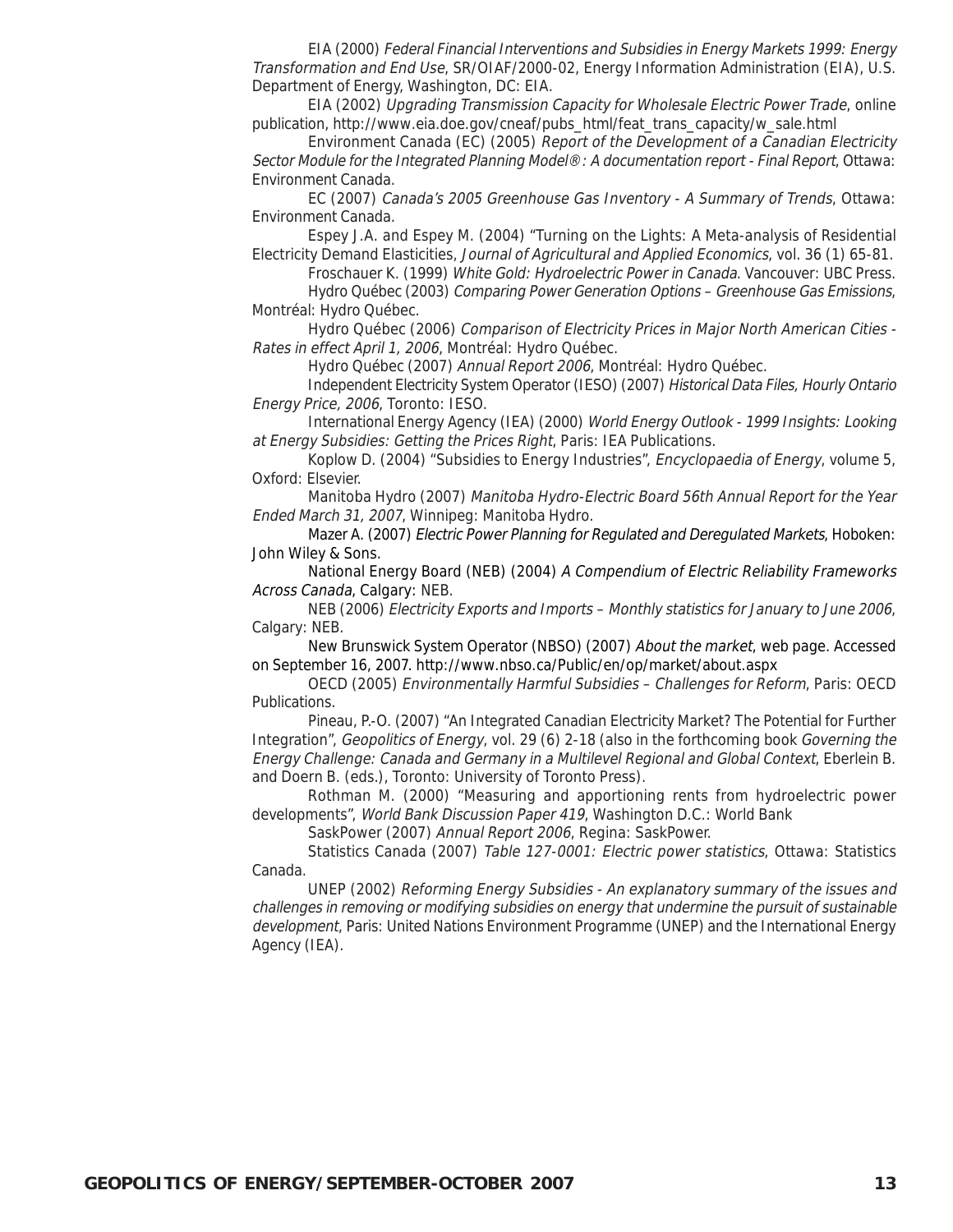EIA (2000) Federal Financial Interventions and Subsidies in Energy Markets 1999: Energy Transformation and End Use, SR/OIAF/2000-02, Energy Information Administration (EIA), U.S. Department of Energy, Washington, DC: EIA.

EIA (2002) Upgrading Transmission Capacity for Wholesale Electric Power Trade, online publication, http://www.eia.doe.gov/cneaf/pubs\_html/feat\_trans\_capacity/w\_sale.html

Environment Canada (EC) (2005) Report of the Development of a Canadian Electricity Sector Module for the Integrated Planning Model®: A documentation report - Final Report, Ottawa: Environment Canada.

EC (2007) Canada's 2005 Greenhouse Gas Inventory - A Summary of Trends, Ottawa: Environment Canada.

Espey J.A. and Espey M. (2004) "Turning on the Lights: A Meta-analysis of Residential Electricity Demand Elasticities, Journal of Agricultural and Applied Economics, vol. 36 (1) 65-81.

Froschauer K. (1999) White Gold: Hydroelectric Power in Canada. Vancouver: UBC Press. Hydro Québec (2003) Comparing Power Generation Options – Greenhouse Gas Emissions,

Montréal: Hydro Québec.

Hydro Québec (2006) Comparison of Electricity Prices in Major North American Cities - Rates in effect April 1, 2006, Montréal: Hydro Québec.

Hydro Québec (2007) Annual Report 2006, Montréal: Hydro Québec.

Independent Electricity System Operator (IESO) (2007) Historical Data Files, Hourly Ontario Energy Price, 2006, Toronto: IESO.

International Energy Agency (IEA) (2000) World Energy Outlook - 1999 Insights: Looking at Energy Subsidies: Getting the Prices Right, Paris: IEA Publications.

Koplow D. (2004) "Subsidies to Energy Industries", *Encyclopaedia of Energy*, volume 5, Oxford: Elsevier.

Manitoba Hydro (2007) Manitoba Hydro-Electric Board 56th Annual Report for the Year Ended March 31, 2007, Winnipeg: Manitoba Hydro.

Mazer A. (2007) Electric Power Planning for Regulated and Deregulated Markets, Hoboken: John Wiley & Sons.

National Energy Board (NEB) (2004) A Compendium of Electric Reliability Frameworks Across Canada, Calgary: NEB.

NEB (2006) Electricity Exports and Imports – Monthly statistics for January to June 2006, Calgary: NEB.

New Brunswick System Operator (NBSO) (2007) About the market, web page. Accessed on September 16, 2007. http://www.nbso.ca/Public/en/op/market/about.aspx

OECD (2005) Environmentally Harmful Subsidies – Challenges for Reform, Paris: OECD Publications.

Pineau, P.-O. (2007) "An Integrated Canadian Electricity Market? The Potential for Further Integration", Geopolitics of Energy, vol. 29 (6) 2-18 (also in the forthcoming book Governing the Energy Challenge: Canada and Germany in a Multilevel Regional and Global Context, Eberlein B. and Doern B. (eds.), Toronto: University of Toronto Press).

Rothman M. (2000) "Measuring and apportioning rents from hydroelectric power developments", World Bank Discussion Paper 419, Washington D.C.: World Bank

SaskPower (2007) Annual Report 2006, Regina: SaskPower.

Statistics Canada (2007) Table 127-0001: Electric power statistics, Ottawa: Statistics Canada.

UNEP (2002) Reforming Energy Subsidies - An explanatory summary of the issues and challenges in removing or modifying subsidies on energy that undermine the pursuit of sustainable development, Paris: United Nations Environment Programme (UNEP) and the International Energy Agency (IEA).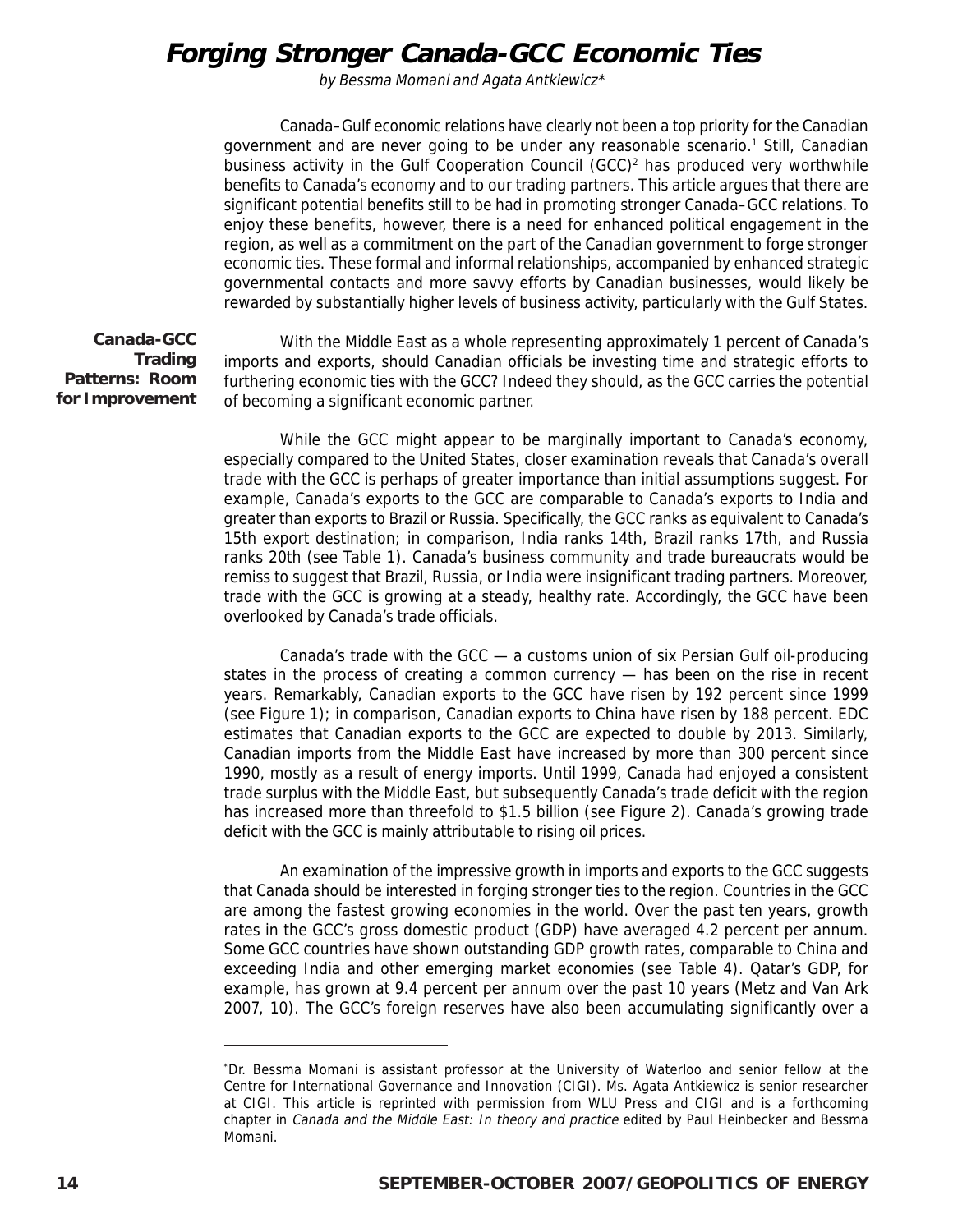## **Forging Stronger Canada-GCC Economic Ties**

by Bessma Momani and Agata Antkiewicz\*

Canada–Gulf economic relations have clearly not been a top priority for the Canadian government and are never going to be under any reasonable scenario.<sup>1</sup> Still, Canadian business activity in the Gulf Cooperation Council  $(GCC)^2$  has produced very worthwhile benefits to Canada's economy and to our trading partners. This article argues that there are significant potential benefits still to be had in promoting stronger Canada–GCC relations. To enjoy these benefits, however, there is a need for enhanced political engagement in the region, as well as a commitment on the part of the Canadian government to forge stronger economic ties. These formal and informal relationships, accompanied by enhanced strategic governmental contacts and more savvy efforts by Canadian businesses, would likely be rewarded by substantially higher levels of business activity, particularly with the Gulf States.

**Canada-GCC Trading Patterns: Room for Improvement**

With the Middle East as a whole representing approximately 1 percent of Canada's imports and exports, should Canadian officials be investing time and strategic efforts to furthering economic ties with the GCC? Indeed they should, as the GCC carries the potential of becoming a significant economic partner.

While the GCC might appear to be marginally important to Canada's economy, especially compared to the United States, closer examination reveals that Canada's overall trade with the GCC is perhaps of greater importance than initial assumptions suggest. For example, Canada's exports to the GCC are comparable to Canada's exports to India and greater than exports to Brazil or Russia. Specifically, the GCC ranks as equivalent to Canada's 15th export destination; in comparison, India ranks 14th, Brazil ranks 17th, and Russia ranks 20th (see Table 1). Canada's business community and trade bureaucrats would be remiss to suggest that Brazil, Russia, or India were insignificant trading partners. Moreover, trade with the GCC is growing at a steady, healthy rate. Accordingly, the GCC have been overlooked by Canada's trade officials.

Canada's trade with the GCC — a customs union of six Persian Gulf oil-producing states in the process of creating a common currency — has been on the rise in recent years. Remarkably, Canadian exports to the GCC have risen by 192 percent since 1999 (see Figure 1); in comparison, Canadian exports to China have risen by 188 percent. EDC estimates that Canadian exports to the GCC are expected to double by 2013. Similarly, Canadian imports from the Middle East have increased by more than 300 percent since 1990, mostly as a result of energy imports. Until 1999, Canada had enjoyed a consistent trade surplus with the Middle East, but subsequently Canada's trade deficit with the region has increased more than threefold to \$1.5 billion (see Figure 2). Canada's growing trade deficit with the GCC is mainly attributable to rising oil prices.

An examination of the impressive growth in imports and exports to the GCC suggests that Canada should be interested in forging stronger ties to the region. Countries in the GCC are among the fastest growing economies in the world. Over the past ten years, growth rates in the GCC's gross domestic product (GDP) have averaged 4.2 percent per annum. Some GCC countries have shown outstanding GDP growth rates, comparable to China and exceeding India and other emerging market economies (see Table 4). Qatar's GDP, for example, has grown at 9.4 percent per annum over the past 10 years (Metz and Van Ark 2007, 10). The GCC's foreign reserves have also been accumulating significantly over a

<sup>\*</sup> Dr. Bessma Momani is assistant professor at the University of Waterloo and senior fellow at the Centre for International Governance and Innovation (CIGI). Ms. Agata Antkiewicz is senior researcher at CIGI. This article is reprinted with permission from WLU Press and CIGI and is a forthcoming chapter in Canada and the Middle East: In theory and practice edited by Paul Heinbecker and Bessma Momani.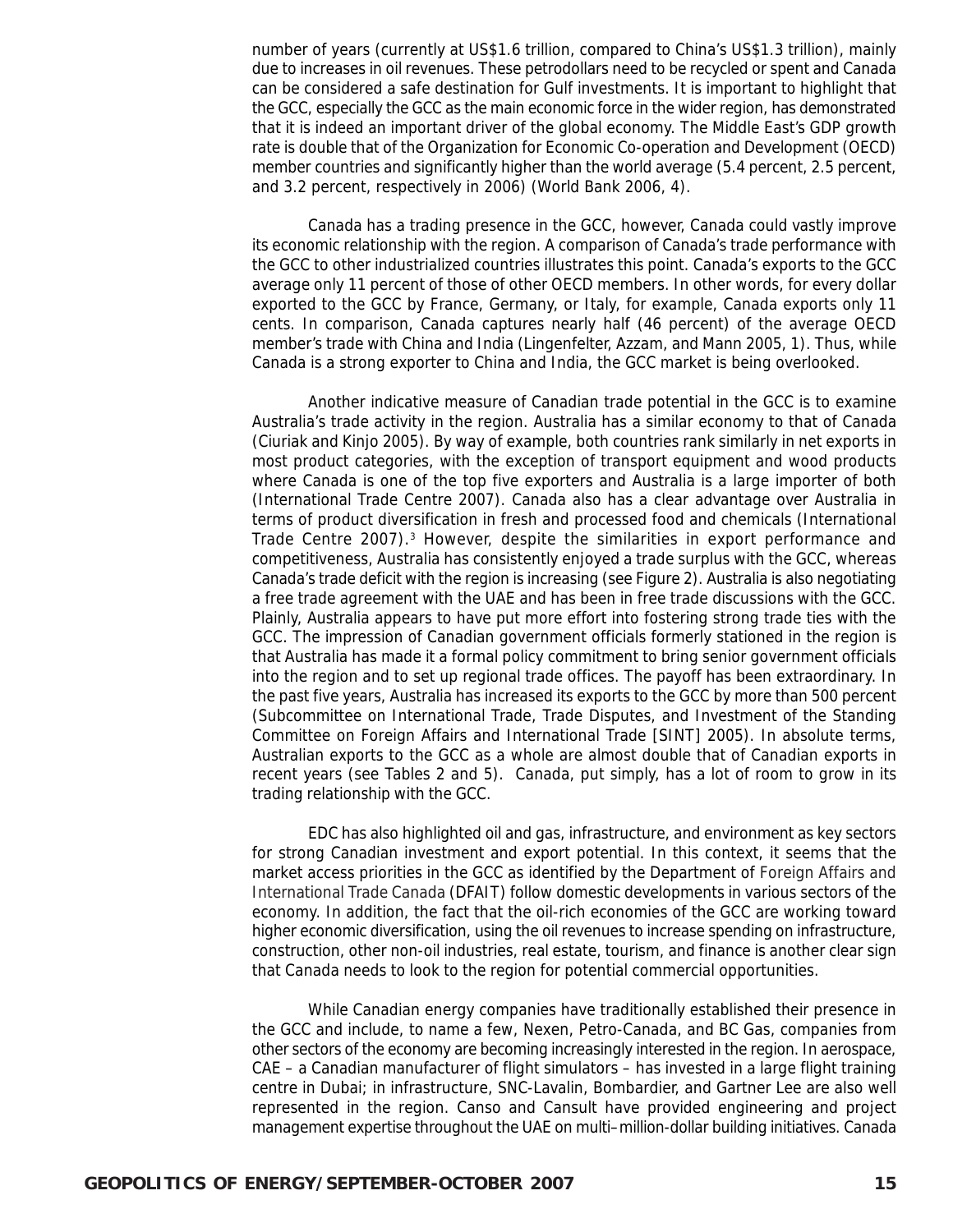number of years (currently at US\$1.6 trillion, compared to China's US\$1.3 trillion), mainly due to increases in oil revenues. These petrodollars need to be recycled or spent and Canada can be considered a safe destination for Gulf investments. It is important to highlight that the GCC, especially the GCC as the main economic force in the wider region, has demonstrated that it is indeed an important driver of the global economy. The Middle East's GDP growth rate is double that of the Organization for Economic Co-operation and Development (OECD) member countries and significantly higher than the world average (5.4 percent, 2.5 percent, and 3.2 percent, respectively in 2006) (World Bank 2006, 4).

Canada has a trading presence in the GCC, however, Canada could vastly improve its economic relationship with the region. A comparison of Canada's trade performance with the GCC to other industrialized countries illustrates this point. Canada's exports to the GCC average only 11 percent of those of other OECD members. In other words, for every dollar exported to the GCC by France, Germany, or Italy, for example, Canada exports only 11 cents. In comparison, Canada captures nearly half (46 percent) of the average OECD member's trade with China and India (Lingenfelter, Azzam, and Mann 2005, 1). Thus, while Canada is a strong exporter to China and India, the GCC market is being overlooked.

Another indicative measure of Canadian trade potential in the GCC is to examine Australia's trade activity in the region. Australia has a similar economy to that of Canada (Ciuriak and Kinjo 2005). By way of example, both countries rank similarly in net exports in most product categories, with the exception of transport equipment and wood products where Canada is one of the top five exporters and Australia is a large importer of both (International Trade Centre 2007). Canada also has a clear advantage over Australia in terms of product diversification in fresh and processed food and chemicals (International Trade Centre 2007).3 However, despite the similarities in export performance and competitiveness, Australia has consistently enjoyed a trade surplus with the GCC, whereas Canada's trade deficit with the region is increasing (see Figure 2). Australia is also negotiating a free trade agreement with the UAE and has been in free trade discussions with the GCC. Plainly, Australia appears to have put more effort into fostering strong trade ties with the GCC. The impression of Canadian government officials formerly stationed in the region is that Australia has made it a formal policy commitment to bring senior government officials into the region and to set up regional trade offices. The payoff has been extraordinary. In the past five years, Australia has increased its exports to the GCC by more than 500 percent (Subcommittee on International Trade, Trade Disputes, and Investment of the Standing Committee on Foreign Affairs and International Trade [SINT] 2005). In absolute terms, Australian exports to the GCC as a whole are almost double that of Canadian exports in recent years (see Tables 2 and 5). Canada, put simply, has a lot of room to grow in its trading relationship with the GCC.

EDC has also highlighted oil and gas, infrastructure, and environment as key sectors for strong Canadian investment and export potential. In this context, it seems that the market access priorities in the GCC as identified by the Department of Foreign Affairs and International Trade Canada (DFAIT) follow domestic developments in various sectors of the economy. In addition, the fact that the oil-rich economies of the GCC are working toward higher economic diversification, using the oil revenues to increase spending on infrastructure, construction, other non-oil industries, real estate, tourism, and finance is another clear sign that Canada needs to look to the region for potential commercial opportunities.

While Canadian energy companies have traditionally established their presence in the GCC and include, to name a few, Nexen, Petro-Canada, and BC Gas, companies from other sectors of the economy are becoming increasingly interested in the region. In aerospace, CAE – a Canadian manufacturer of flight simulators – has invested in a large flight training centre in Dubai; in infrastructure, SNC-Lavalin, Bombardier, and Gartner Lee are also well represented in the region. Canso and Cansult have provided engineering and project management expertise throughout the UAE on multi–million-dollar building initiatives. Canada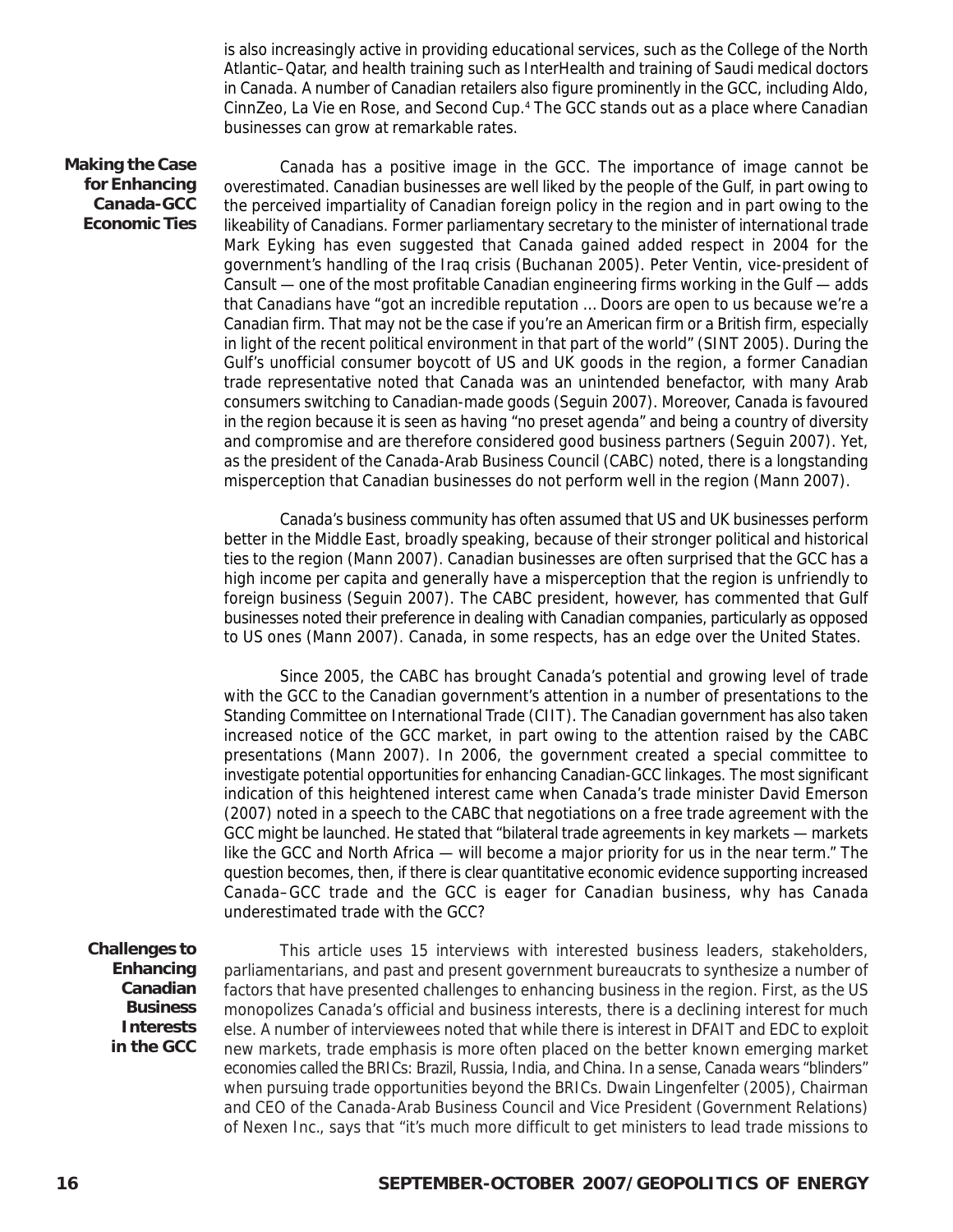is also increasingly active in providing educational services, such as the College of the North Atlantic–Qatar, and health training such as InterHealth and training of Saudi medical doctors in Canada. A number of Canadian retailers also figure prominently in the GCC, including Aldo, CinnZeo, La Vie en Rose, and Second Cup.4 The GCC stands out as a place where Canadian businesses can grow at remarkable rates.

**Making the Case for Enhancing Canada-GCC Economic Ties**

Canada has a positive image in the GCC. The importance of image cannot be overestimated. Canadian businesses are well liked by the people of the Gulf, in part owing to the perceived impartiality of Canadian foreign policy in the region and in part owing to the likeability of Canadians. Former parliamentary secretary to the minister of international trade Mark Eyking has even suggested that Canada gained added respect in 2004 for the government's handling of the Iraq crisis (Buchanan 2005). Peter Ventin, vice-president of Cansult — one of the most profitable Canadian engineering firms working in the Gulf — adds that Canadians have "got an incredible reputation … Doors are open to us because we're a Canadian firm. That may not be the case if you're an American firm or a British firm, especially in light of the recent political environment in that part of the world" (SINT 2005). During the Gulf's unofficial consumer boycott of US and UK goods in the region, a former Canadian trade representative noted that Canada was an unintended benefactor, with many Arab consumers switching to Canadian-made goods (Seguin 2007). Moreover, Canada is favoured in the region because it is seen as having "no preset agenda" and being a country of diversity and compromise and are therefore considered good business partners (Seguin 2007). Yet, as the president of the Canada-Arab Business Council (CABC) noted, there is a longstanding misperception that Canadian businesses do not perform well in the region (Mann 2007).

Canada's business community has often assumed that US and UK businesses perform better in the Middle East, broadly speaking, because of their stronger political and historical ties to the region (Mann 2007). Canadian businesses are often surprised that the GCC has a high income per capita and generally have a misperception that the region is unfriendly to foreign business (Seguin 2007). The CABC president, however, has commented that Gulf businesses noted their preference in dealing with Canadian companies, particularly as opposed to US ones (Mann 2007). Canada, in some respects, has an edge over the United States.

Since 2005, the CABC has brought Canada's potential and growing level of trade with the GCC to the Canadian government's attention in a number of presentations to the Standing Committee on International Trade (CIIT). The Canadian government has also taken increased notice of the GCC market, in part owing to the attention raised by the CABC presentations (Mann 2007). In 2006, the government created a special committee to investigate potential opportunities for enhancing Canadian-GCC linkages. The most significant indication of this heightened interest came when Canada's trade minister David Emerson (2007) noted in a speech to the CABC that negotiations on a free trade agreement with the GCC might be launched. He stated that "bilateral trade agreements in key markets — markets like the GCC and North Africa — will become a major priority for us in the near term." The question becomes, then, if there is clear quantitative economic evidence supporting increased Canada–GCC trade and the GCC is eager for Canadian business, why has Canada underestimated trade with the GCC?

**Challenges to Enhancing Canadian Business Interests in the GCC**

This article uses 15 interviews with interested business leaders, stakeholders, parliamentarians, and past and present government bureaucrats to synthesize a number of factors that have presented challenges to enhancing business in the region. First, as the US monopolizes Canada's official and business interests, there is a declining interest for much else. A number of interviewees noted that while there is interest in DFAIT and EDC to exploit new markets, trade emphasis is more often placed on the better known emerging market economies called the BRICs: Brazil, Russia, India, and China. In a sense, Canada wears "blinders" when pursuing trade opportunities beyond the BRICs. Dwain Lingenfelter (2005), Chairman and CEO of the Canada-Arab Business Council and Vice President (Government Relations) of Nexen Inc., says that "it's much more difficult to get ministers to lead trade missions to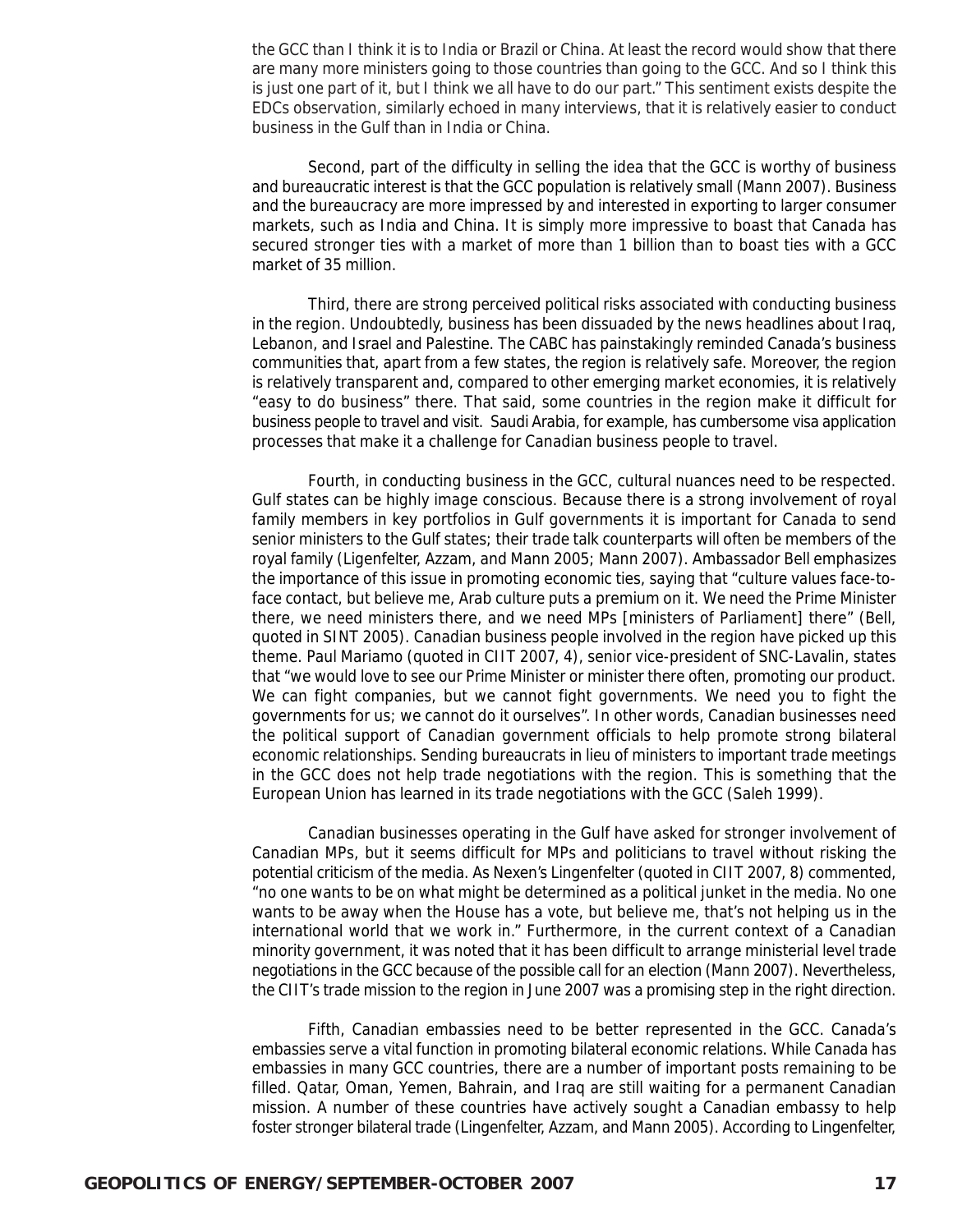the GCC than I think it is to India or Brazil or China. At least the record would show that there are many more ministers going to those countries than going to the GCC. And so I think this is just one part of it, but I think we all have to do our part." This sentiment exists despite the EDCs observation, similarly echoed in many interviews, that it is relatively easier to conduct business in the Gulf than in India or China.

Second, part of the difficulty in selling the idea that the GCC is worthy of business and bureaucratic interest is that the GCC population is relatively small (Mann 2007). Business and the bureaucracy are more impressed by and interested in exporting to larger consumer markets, such as India and China. It is simply more impressive to boast that Canada has secured stronger ties with a market of more than 1 billion than to boast ties with a GCC market of 35 million.

Third, there are strong perceived political risks associated with conducting business in the region. Undoubtedly, business has been dissuaded by the news headlines about Iraq, Lebanon, and Israel and Palestine. The CABC has painstakingly reminded Canada's business communities that, apart from a few states, the region is relatively safe. Moreover, the region is relatively transparent and, compared to other emerging market economies, it is relatively "easy to do business" there. That said, some countries in the region make it difficult for business people to travel and visit. Saudi Arabia, for example, has cumbersome visa application processes that make it a challenge for Canadian business people to travel.

Fourth, in conducting business in the GCC, cultural nuances need to be respected. Gulf states can be highly image conscious. Because there is a strong involvement of royal family members in key portfolios in Gulf governments it is important for Canada to send senior ministers to the Gulf states; their trade talk counterparts will often be members of the royal family (Ligenfelter, Azzam, and Mann 2005; Mann 2007). Ambassador Bell emphasizes the importance of this issue in promoting economic ties, saying that "culture values face-toface contact, but believe me, Arab culture puts a premium on it. We need the Prime Minister there, we need ministers there, and we need MPs [ministers of Parliament] there" (Bell, quoted in SINT 2005). Canadian business people involved in the region have picked up this theme. Paul Mariamo (quoted in CIIT 2007, 4), senior vice-president of SNC-Lavalin, states that "we would love to see our Prime Minister or minister there often, promoting our product. We can fight companies, but we cannot fight governments. We need you to fight the governments for us; we cannot do it ourselves". In other words, Canadian businesses need the political support of Canadian government officials to help promote strong bilateral economic relationships. Sending bureaucrats in lieu of ministers to important trade meetings in the GCC does not help trade negotiations with the region. This is something that the European Union has learned in its trade negotiations with the GCC (Saleh 1999).

Canadian businesses operating in the Gulf have asked for stronger involvement of Canadian MPs, but it seems difficult for MPs and politicians to travel without risking the potential criticism of the media. As Nexen's Lingenfelter (quoted in CIIT 2007, 8) commented, "no one wants to be on what might be determined as a political junket in the media. No one wants to be away when the House has a vote, but believe me, that's not helping us in the international world that we work in." Furthermore, in the current context of a Canadian minority government, it was noted that it has been difficult to arrange ministerial level trade negotiations in the GCC because of the possible call for an election (Mann 2007). Nevertheless, the CIIT's trade mission to the region in June 2007 was a promising step in the right direction.

Fifth, Canadian embassies need to be better represented in the GCC. Canada's embassies serve a vital function in promoting bilateral economic relations. While Canada has embassies in many GCC countries, there are a number of important posts remaining to be filled. Qatar, Oman, Yemen, Bahrain, and Iraq are still waiting for a permanent Canadian mission. A number of these countries have actively sought a Canadian embassy to help foster stronger bilateral trade (Lingenfelter, Azzam, and Mann 2005). According to Lingenfelter,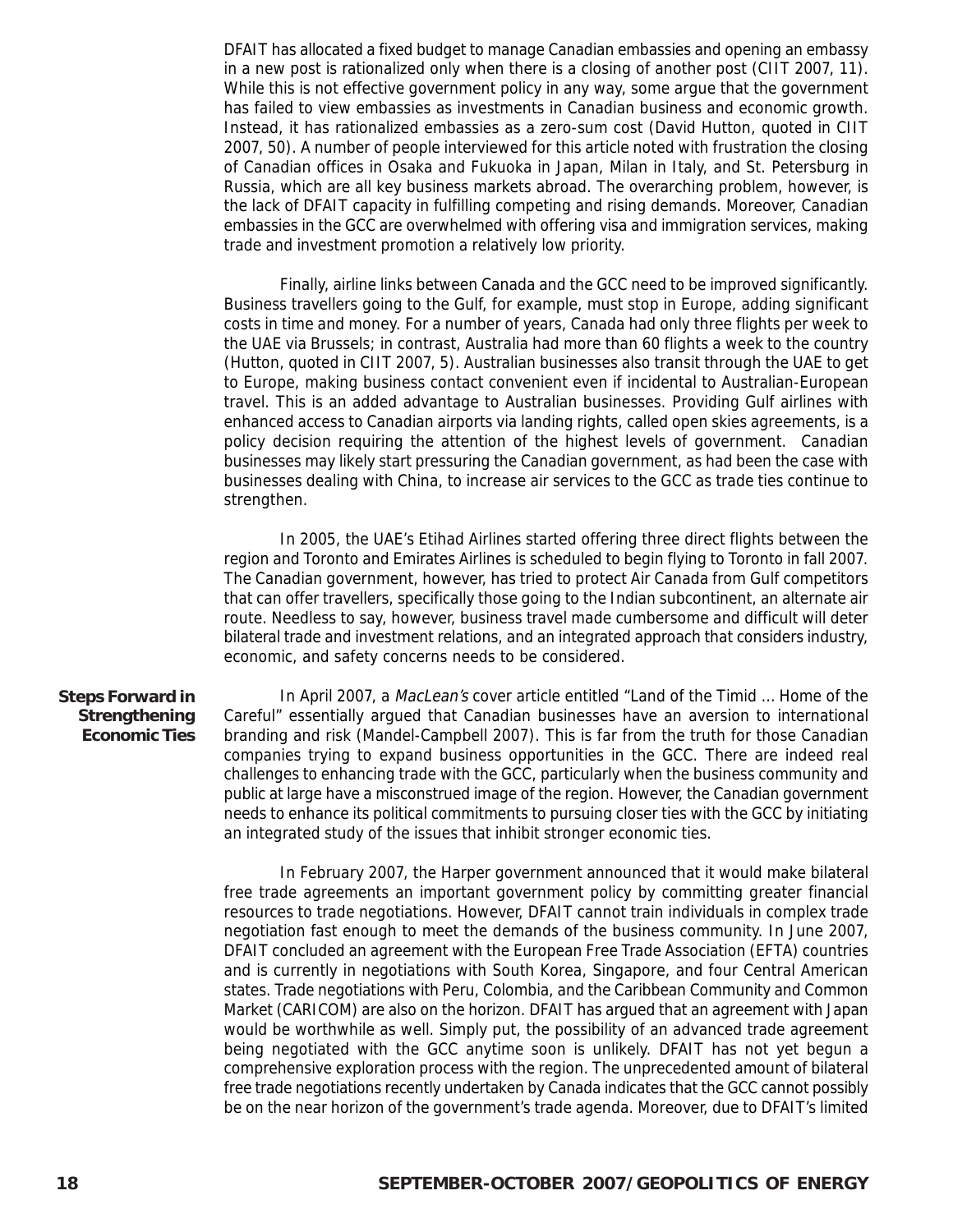DFAIT has allocated a fixed budget to manage Canadian embassies and opening an embassy in a new post is rationalized only when there is a closing of another post (CIIT 2007, 11). While this is not effective government policy in any way, some argue that the government has failed to view embassies as investments in Canadian business and economic growth. Instead, it has rationalized embassies as a zero-sum cost (David Hutton, quoted in CIIT 2007, 50). A number of people interviewed for this article noted with frustration the closing of Canadian offices in Osaka and Fukuoka in Japan, Milan in Italy, and St. Petersburg in Russia, which are all key business markets abroad. The overarching problem, however, is the lack of DFAIT capacity in fulfilling competing and rising demands. Moreover, Canadian embassies in the GCC are overwhelmed with offering visa and immigration services, making trade and investment promotion a relatively low priority.

Finally, airline links between Canada and the GCC need to be improved significantly. Business travellers going to the Gulf, for example, must stop in Europe, adding significant costs in time and money. For a number of years, Canada had only three flights per week to the UAE via Brussels; in contrast, Australia had more than 60 flights a week to the country (Hutton, quoted in CIIT 2007, 5). Australian businesses also transit through the UAE to get to Europe, making business contact convenient even if incidental to Australian-European travel. This is an added advantage to Australian businesses. Providing Gulf airlines with enhanced access to Canadian airports via landing rights, called open skies agreements, is a policy decision requiring the attention of the highest levels of government. Canadian businesses may likely start pressuring the Canadian government, as had been the case with businesses dealing with China, to increase air services to the GCC as trade ties continue to strengthen.

In 2005, the UAE's Etihad Airlines started offering three direct flights between the region and Toronto and Emirates Airlines is scheduled to begin flying to Toronto in fall 2007. The Canadian government, however, has tried to protect Air Canada from Gulf competitors that can offer travellers, specifically those going to the Indian subcontinent, an alternate air route. Needless to say, however, business travel made cumbersome and difficult will deter bilateral trade and investment relations, and an integrated approach that considers industry, economic, and safety concerns needs to be considered.

#### **Steps Forward in Strengthening Economic Ties**

In April 2007, a MacLean's cover article entitled "Land of the Timid … Home of the Careful" essentially argued that Canadian businesses have an aversion to international branding and risk (Mandel-Campbell 2007). This is far from the truth for those Canadian companies trying to expand business opportunities in the GCC. There are indeed real challenges to enhancing trade with the GCC, particularly when the business community and public at large have a misconstrued image of the region. However, the Canadian government needs to enhance its political commitments to pursuing closer ties with the GCC by initiating an integrated study of the issues that inhibit stronger economic ties.

In February 2007, the Harper government announced that it would make bilateral free trade agreements an important government policy by committing greater financial resources to trade negotiations. However, DFAIT cannot train individuals in complex trade negotiation fast enough to meet the demands of the business community. In June 2007, DFAIT concluded an agreement with the European Free Trade Association (EFTA) countries and is currently in negotiations with South Korea, Singapore, and four Central American states. Trade negotiations with Peru, Colombia, and the Caribbean Community and Common Market (CARICOM) are also on the horizon. DFAIT has argued that an agreement with Japan would be worthwhile as well. Simply put, the possibility of an advanced trade agreement being negotiated with the GCC anytime soon is unlikely. DFAIT has not yet begun a comprehensive exploration process with the region. The unprecedented amount of bilateral free trade negotiations recently undertaken by Canada indicates that the GCC cannot possibly be on the near horizon of the government's trade agenda. Moreover, due to DFAIT's limited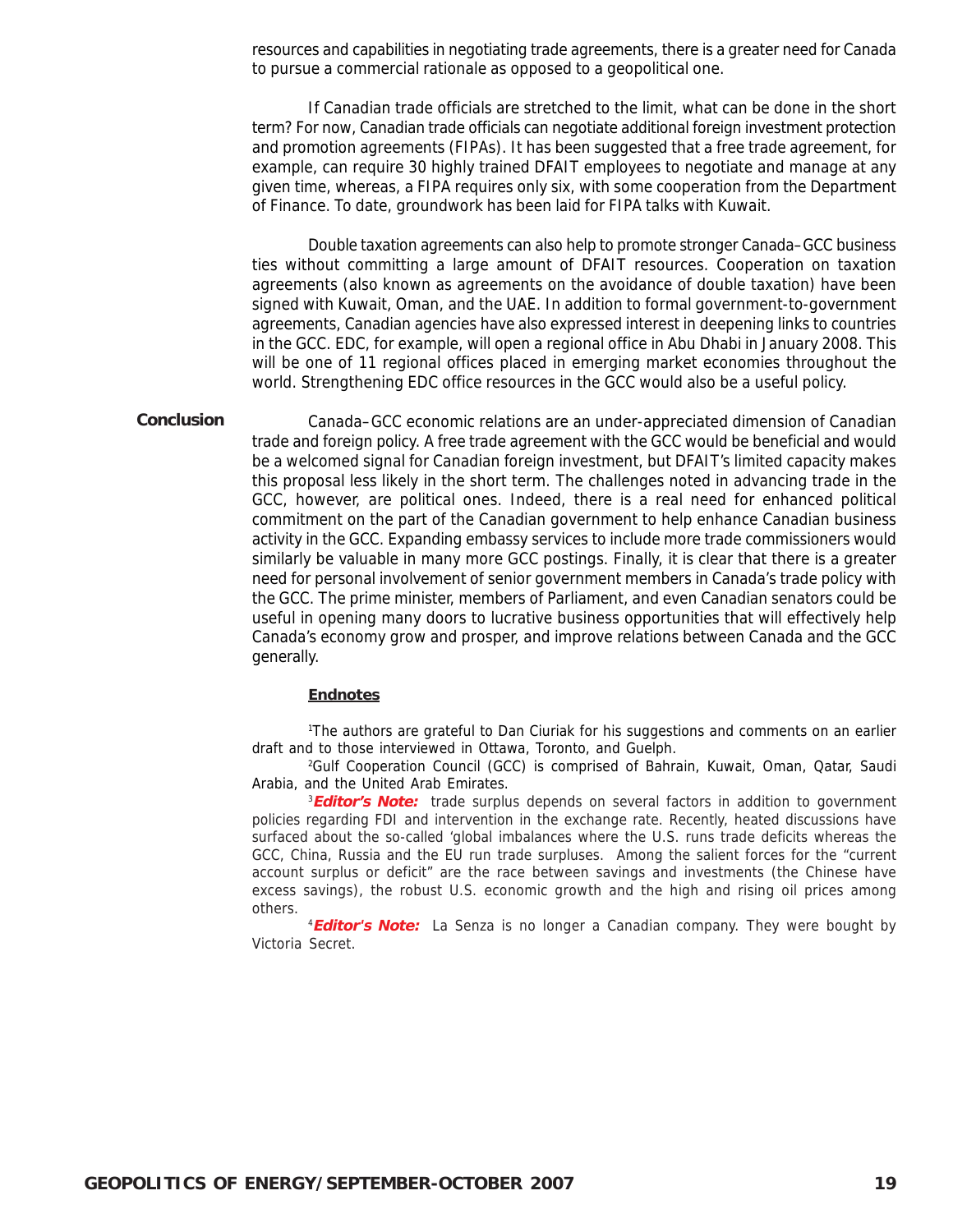resources and capabilities in negotiating trade agreements, there is a greater need for Canada to pursue a commercial rationale as opposed to a geopolitical one.

If Canadian trade officials are stretched to the limit, what can be done in the short term? For now, Canadian trade officials can negotiate additional foreign investment protection and promotion agreements (FIPAs). It has been suggested that a free trade agreement, for example, can require 30 highly trained DFAIT employees to negotiate and manage at any given time, whereas, a FIPA requires only six, with some cooperation from the Department of Finance. To date, groundwork has been laid for FIPA talks with Kuwait.

Double taxation agreements can also help to promote stronger Canada–GCC business ties without committing a large amount of DFAIT resources. Cooperation on taxation agreements (also known as agreements on the avoidance of double taxation) have been signed with Kuwait, Oman, and the UAE. In addition to formal government-to-government agreements, Canadian agencies have also expressed interest in deepening links to countries in the GCC. EDC, for example, will open a regional office in Abu Dhabi in January 2008. This will be one of 11 regional offices placed in emerging market economies throughout the world. Strengthening EDC office resources in the GCC would also be a useful policy.

Canada–GCC economic relations are an under-appreciated dimension of Canadian trade and foreign policy. A free trade agreement with the GCC would be beneficial and would be a welcomed signal for Canadian foreign investment, but DFAIT's limited capacity makes this proposal less likely in the short term. The challenges noted in advancing trade in the GCC, however, are political ones. Indeed, there is a real need for enhanced political commitment on the part of the Canadian government to help enhance Canadian business activity in the GCC. Expanding embassy services to include more trade commissioners would similarly be valuable in many more GCC postings. Finally, it is clear that there is a greater need for personal involvement of senior government members in Canada's trade policy with the GCC. The prime minister, members of Parliament, and even Canadian senators could be useful in opening many doors to lucrative business opportunities that will effectively help Canada's economy grow and prosper, and improve relations between Canada and the GCC generally. **Conclusion**

#### **Endnotes**

1 The authors are grateful to Dan Ciuriak for his suggestions and comments on an earlier draft and to those interviewed in Ottawa, Toronto, and Guelph.

2 Gulf Cooperation Council (GCC) is comprised of Bahrain, Kuwait, Oman, Qatar, Saudi Arabia, and the United Arab Emirates.

3 **Editor's Note:** trade surplus depends on several factors in addition to government policies regarding FDI and intervention in the exchange rate. Recently, heated discussions have surfaced about the so-called 'global imbalances where the U.S. runs trade deficits whereas the GCC, China, Russia and the EU run trade surpluses. Among the salient forces for the "current account surplus or deficit" are the race between savings and investments (the Chinese have excess savings), the robust U.S. economic growth and the high and rising oil prices among others.

4 **Editor's Note:** La Senza is no longer a Canadian company. They were bought by Victoria Secret.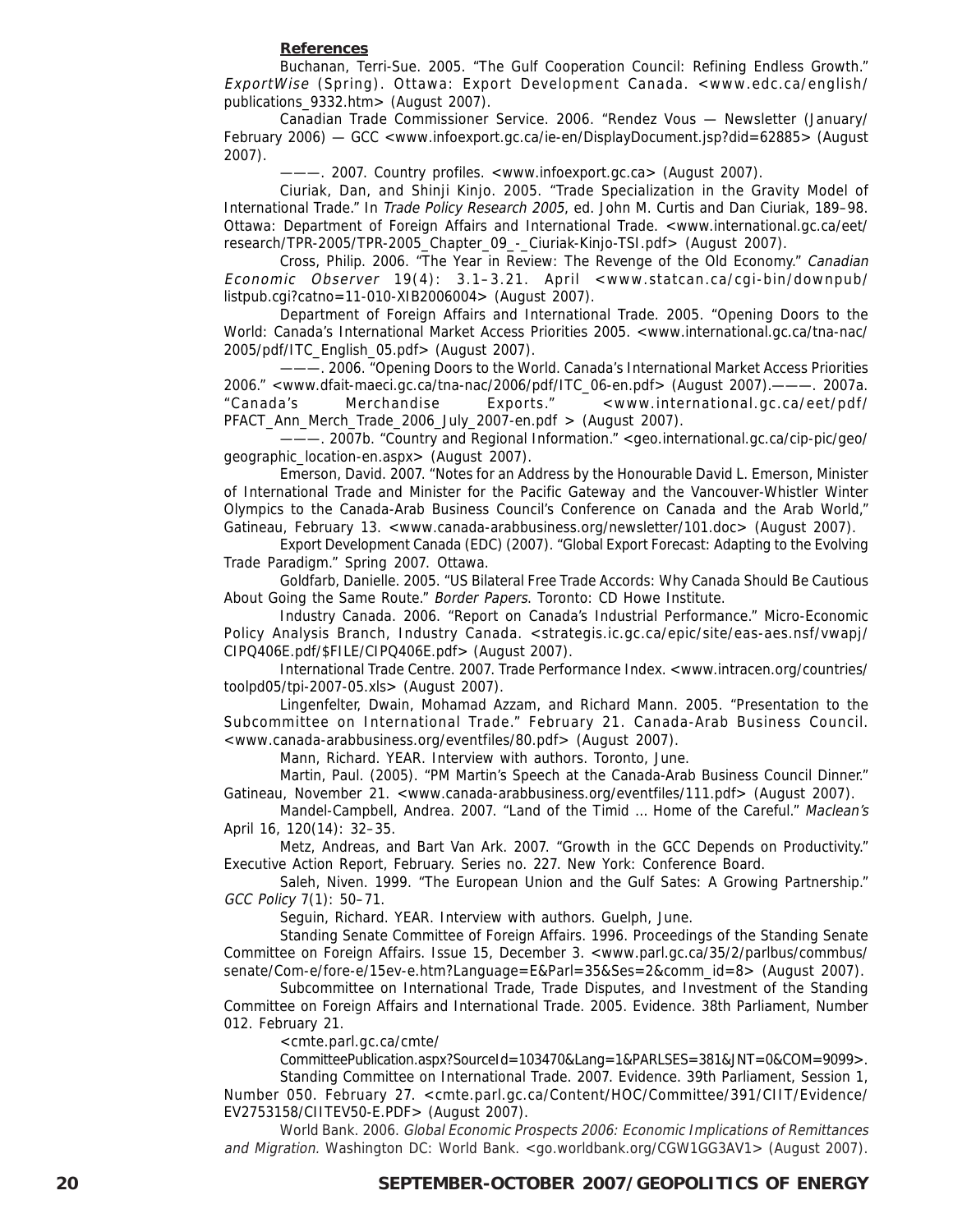#### **References**

Buchanan, Terri-Sue. 2005. "The Gulf Cooperation Council: Refining Endless Growth." ExportWise (Spring). Ottawa: Export Development Canada. <www.edc.ca/english/ publications\_9332.htm> (August 2007).

Canadian Trade Commissioner Service. 2006. "Rendez Vous — Newsletter (January/ February 2006) — GCC <www.infoexport.gc.ca/ie-en/DisplayDocument.jsp?did=62885> (August 2007).

———. 2007. Country profiles. <www.infoexport.gc.ca> (August 2007).

Ciuriak, Dan, and Shinji Kinjo. 2005. "Trade Specialization in the Gravity Model of International Trade." In Trade Policy Research 2005, ed. John M. Curtis and Dan Ciuriak, 189–98. Ottawa: Department of Foreign Affairs and International Trade. <www.international.gc.ca/eet/ research/TPR-2005/TPR-2005\_Chapter\_09\_-\_Ciuriak-Kinjo-TSI.pdf> (August 2007).

Cross, Philip. 2006. "The Year in Review: The Revenge of the Old Economy." Canadian Economic Observer 19(4): 3.1–3.21. April <www.statcan.ca/cgi-bin/downpub/ listpub.cgi?catno=11-010-XIB2006004> (August 2007).

Department of Foreign Affairs and International Trade. 2005. "Opening Doors to the World: Canada's International Market Access Priorities 2005. <www.international.gc.ca/tna-nac/ 2005/pdf/ITC\_English\_05.pdf> (August 2007).

———. 2006. "Opening Doors to the World. Canada's International Market Access Priorities 2006." <www.dfait-maeci.gc.ca/tna-nac/2006/pdf/ITC\_06-en.pdf> (August 2007).———. 2007a. "Canada's Merchandise Exports." <www.international.gc.ca/eet/pdf/ PFACT Ann Merch Trade 2006 July 2007-en.pdf  $>$  (August 2007).

———. 2007b. "Country and Regional Information." <geo.international.gc.ca/cip-pic/geo/ geographic\_location-en.aspx> (August 2007).

Emerson, David. 2007. "Notes for an Address by the Honourable David L. Emerson, Minister of International Trade and Minister for the Pacific Gateway and the Vancouver-Whistler Winter Olympics to the Canada-Arab Business Council's Conference on Canada and the Arab World," Gatineau, February 13. <www.canada-arabbusiness.org/newsletter/101.doc> (August 2007).

Export Development Canada (EDC) (2007). "Global Export Forecast: Adapting to the Evolving Trade Paradigm." Spring 2007. Ottawa.

Goldfarb, Danielle. 2005. "US Bilateral Free Trade Accords: Why Canada Should Be Cautious About Going the Same Route." Border Papers. Toronto: CD Howe Institute.

Industry Canada. 2006. "Report on Canada's Industrial Performance." Micro-Economic Policy Analysis Branch, Industry Canada. <strategis.ic.gc.ca/epic/site/eas-aes.nsf/vwapj/ CIPQ406E.pdf/\$FILE/CIPQ406E.pdf> (August 2007).

International Trade Centre. 2007. Trade Performance Index. <www.intracen.org/countries/ toolpd05/tpi-2007-05.xls> (August 2007).

Lingenfelter, Dwain, Mohamad Azzam, and Richard Mann. 2005. "Presentation to the Subcommittee on International Trade." February 21. Canada-Arab Business Council. <www.canada-arabbusiness.org/eventfiles/80.pdf> (August 2007).

Mann, Richard. YEAR. Interview with authors. Toronto, June.

Martin, Paul. (2005). "PM Martin's Speech at the Canada-Arab Business Council Dinner." Gatineau, November 21. <www.canada-arabbusiness.org/eventfiles/111.pdf> (August 2007).

Mandel-Campbell, Andrea. 2007. "Land of the Timid … Home of the Careful." Maclean's April 16, 120(14): 32–35.

Metz, Andreas, and Bart Van Ark. 2007. "Growth in the GCC Depends on Productivity." Executive Action Report, February. Series no. 227. New York: Conference Board.

Saleh, Niven. 1999. "The European Union and the Gulf Sates: A Growing Partnership." GCC Policy 7(1): 50–71.

Seguin, Richard. YEAR. Interview with authors. Guelph, June.

Standing Senate Committee of Foreign Affairs. 1996. Proceedings of the Standing Senate Committee on Foreign Affairs. Issue 15, December 3. <www.parl.gc.ca/35/2/parlbus/commbus/ senate/Com-e/fore-e/15ev-e.htm?Language=E&Parl=35&Ses=2&comm\_id=8> (August 2007).

Subcommittee on International Trade, Trade Disputes, and Investment of the Standing Committee on Foreign Affairs and International Trade. 2005. Evidence. 38th Parliament, Number 012. February 21.

<cmte.parl.gc.ca/cmte/

CommitteePublication.aspx?SourceId=103470&Lang=1&PARLSES=381&JNT=0&COM=9099>.

Standing Committee on International Trade. 2007. Evidence. 39th Parliament, Session 1, Number 050. February 27. <cmte.parl.gc.ca/Content/HOC/Committee/391/CIIT/Evidence/ EV2753158/CIITEV50-E.PDF> (August 2007).

World Bank. 2006. Global Economic Prospects 2006: Economic Implications of Remittances and Migration. Washington DC: World Bank. <go.worldbank.org/CGW1GG3AV1> (August 2007).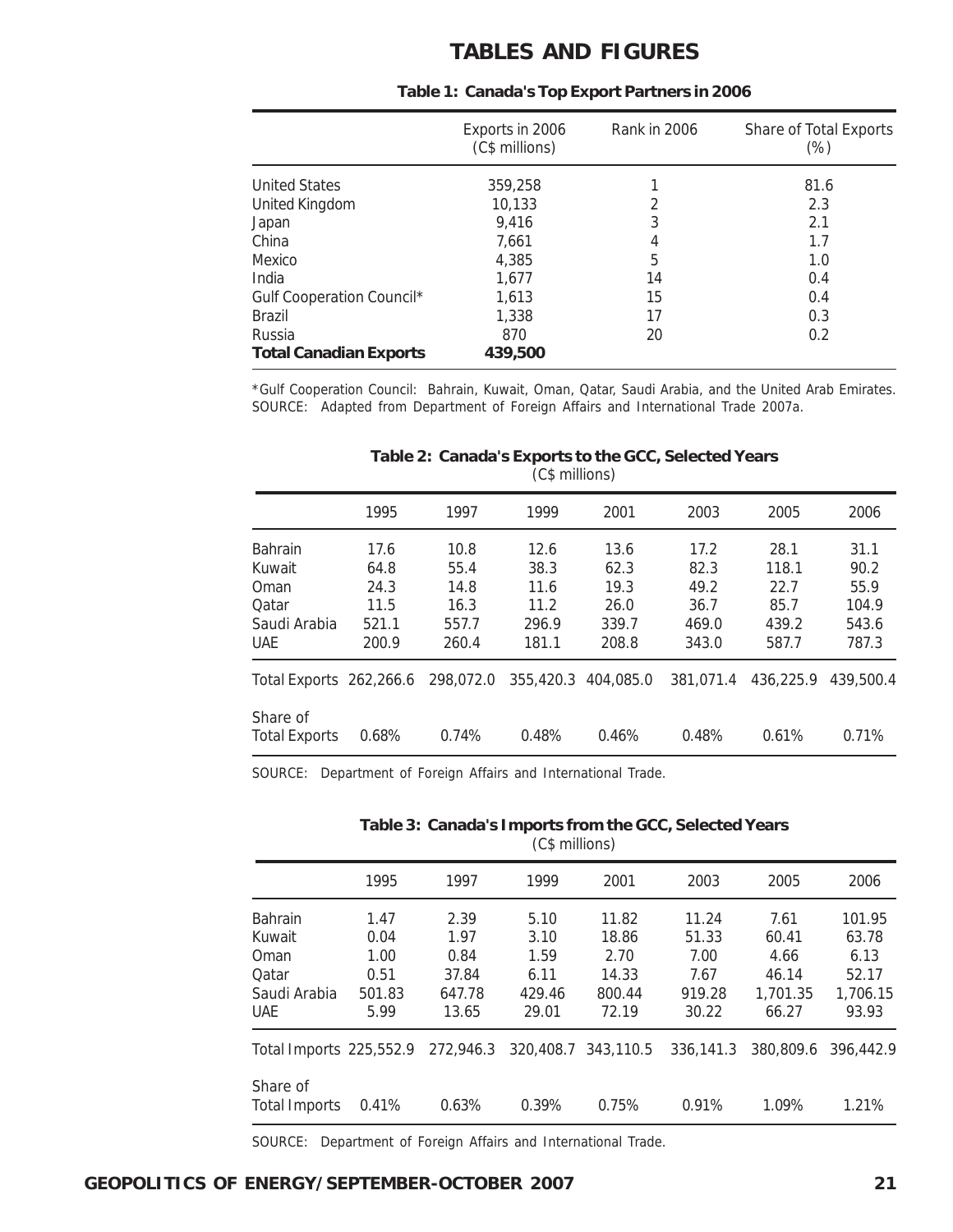### **TABLES AND FIGURES**

|                               | Exports in 2006<br>(C\$ millions) | Rank in 2006 | Share of Total Exports<br>(%) |
|-------------------------------|-----------------------------------|--------------|-------------------------------|
| <b>United States</b>          | 359,258                           |              | 81.6                          |
| <b>United Kingdom</b>         | 10,133                            | 2            | 2.3                           |
| Japan                         | 9,416                             | 3            | 2.1                           |
| China                         | 7.661                             | 4            | 1.7                           |
| Mexico                        | 4,385                             | 5            | 1.0                           |
| India                         | 1,677                             | 14           | 0.4                           |
| Gulf Cooperation Council*     | 1.613                             | 15           | 0.4                           |
| Brazil                        | 1,338                             | 17           | 0.3                           |
| Russia                        | 870                               | 20           | 0.2                           |
| <b>Total Canadian Exports</b> | 439,500                           |              |                               |

#### **Table 1: Canada's Top Export Partners in 2006**

\*Gulf Cooperation Council: Bahrain, Kuwait, Oman, Qatar, Saudi Arabia, and the United Arab Emirates. SOURCE: Adapted from Department of Foreign Affairs and International Trade 2007a.

|                                             | 1995                           | 1997                           | 1999                           | 2001                           | 2003                           | 2005                           | 2006                            |
|---------------------------------------------|--------------------------------|--------------------------------|--------------------------------|--------------------------------|--------------------------------|--------------------------------|---------------------------------|
| <b>Bahrain</b><br>Kuwait                    | 17.6<br>64.8                   | 10.8<br>55.4                   | 12.6<br>38.3                   | 13.6<br>62.3                   | 17.2<br>82.3                   | 28.1<br>118.1                  | 31.1<br>90.2                    |
| Oman<br>Oatar<br>Saudi Arabia<br><b>UAE</b> | 24.3<br>11.5<br>521.1<br>200.9 | 14.8<br>16.3<br>557.7<br>260.4 | 11.6<br>11.2<br>296.9<br>181.1 | 19.3<br>26.0<br>339.7<br>208.8 | 49.2<br>36.7<br>469.0<br>343.0 | 22.7<br>85.7<br>439.2<br>587.7 | 55.9<br>104.9<br>543.6<br>787.3 |
| Total Exports 262,266.6                     |                                | 298,072.0                      | 355,420.3                      | 404,085.0                      | 381.071.4                      | 436.225.9                      | 439.500.4                       |
| Share of<br><b>Total Exports</b>            | 0.68%                          | 0.74%                          | 0.48%                          | 0.46%                          | 0.48%                          | 0.61%                          | 0.71%                           |

#### **Table 2: Canada's Exports to the GCC, Selected Years** (C\$ millions)

SOURCE: Department of Foreign Affairs and International Trade.

#### **Table 3: Canada's Imports from the GCC, Selected Years** (C\$ millions)

|                         | 1995   | 1997      | 1999      | 2001      | 2003      | 2005      | 2006      |
|-------------------------|--------|-----------|-----------|-----------|-----------|-----------|-----------|
| <b>Bahrain</b>          | 1.47   | 2.39      | 5.10      | 11.82     | 11.24     | 7.61      | 101.95    |
| Kuwait                  | 0.04   | 1.97      | 3.10      | 18.86     | 51.33     | 60.41     | 63.78     |
| Oman                    | 1.00   | 0.84      | 1.59      | 2.70      | 7.00      | 4.66      | 6.13      |
| Qatar                   | 0.51   | 37.84     | 6.11      | 14.33     | 7.67      | 46.14     | 52.17     |
| Saudi Arabia            | 501.83 | 647.78    | 429.46    | 800.44    | 919.28    | 1,701.35  | 1.706.15  |
| <b>UAE</b>              | 5.99   | 13.65     | 29.01     | 72.19     | 30.22     | 66.27     | 93.93     |
| Total Imports 225,552.9 |        | 272,946.3 | 320,408.7 | 343,110.5 | 336.141.3 | 380,809.6 | 396.442.9 |
| Share of                |        |           |           |           |           |           |           |
| <b>Total Imports</b>    | 0.41%  | 0.63%     | 0.39%     | 0.75%     | 0.91%     | 1.09%     | 1.21%     |

SOURCE: Department of Foreign Affairs and International Trade.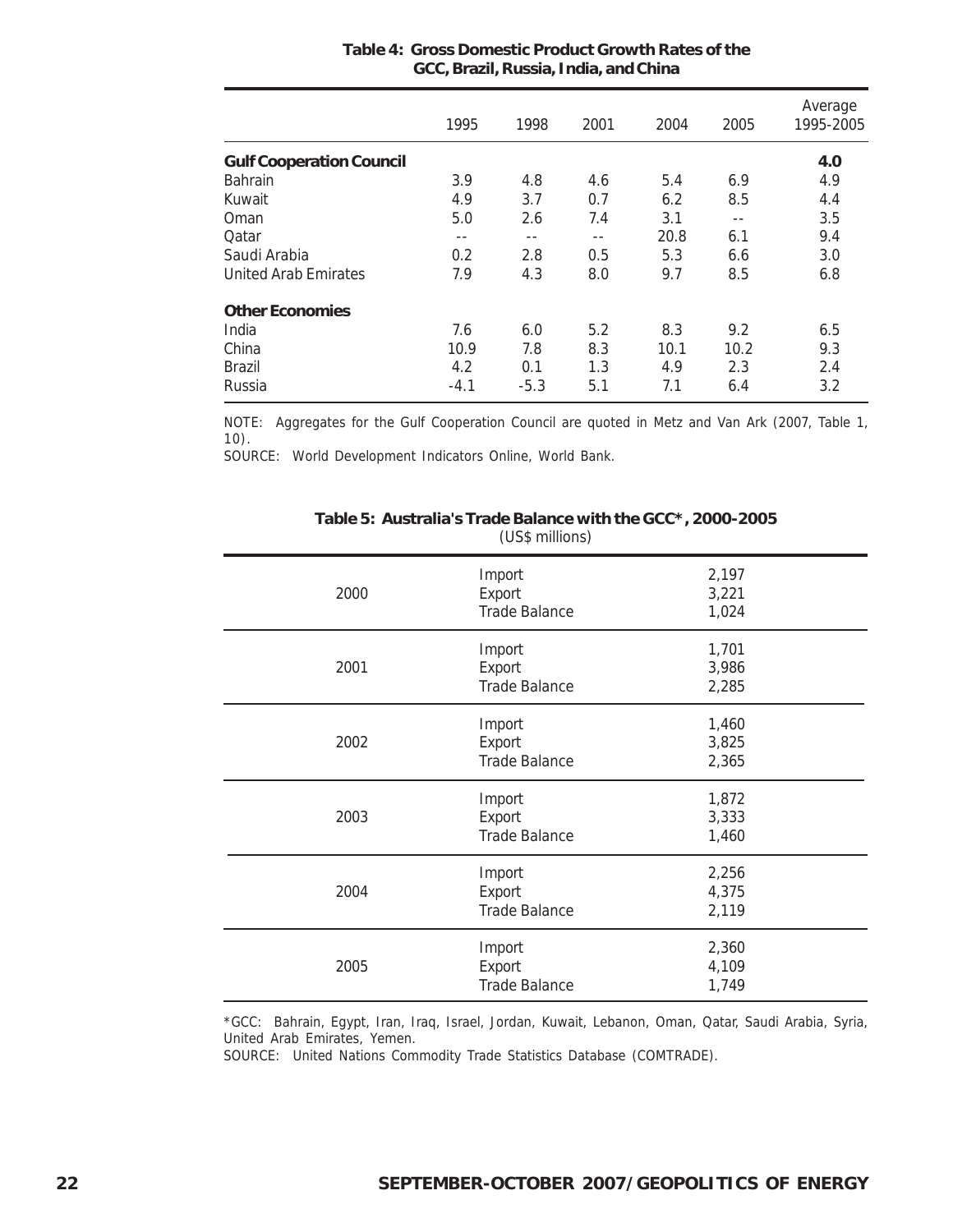|                                 | 1995   | 1998   | 2001  | 2004 | 2005 | Average<br>1995-2005 |
|---------------------------------|--------|--------|-------|------|------|----------------------|
| <b>Gulf Cooperation Council</b> |        |        |       |      |      | 4.0                  |
| Bahrain                         | 3.9    | 4.8    | 4.6   | 5.4  | 6.9  | 4.9                  |
| Kuwait                          | 4.9    | 3.7    | 0.7   | 6.2  | 8.5  | 4.4                  |
| Oman                            | 5.0    | 2.6    | 7.4   | 3.1  | --   | 3.5                  |
| Qatar                           | $- -$  | --     | $- -$ | 20.8 | 6.1  | 9.4                  |
| Saudi Arabia                    | 0.2    | 2.8    | 0.5   | 5.3  | 6.6  | 3.0                  |
| <b>United Arab Emirates</b>     | 7.9    | 4.3    | 8.0   | 9.7  | 8.5  | 6.8                  |
| <b>Other Economies</b>          |        |        |       |      |      |                      |
| India                           | 7.6    | 6.0    | 5.2   | 8.3  | 9.2  | 6.5                  |
| China                           | 10.9   | 7.8    | 8.3   | 10.1 | 10.2 | 9.3                  |
| <b>Brazil</b>                   | 4.2    | 0.1    | 1.3   | 4.9  | 2.3  | 2.4                  |
| Russia                          | $-4.1$ | $-5.3$ | 5.1   | 7.1  | 6.4  | 3.2                  |

#### **Table 4: Gross Domestic Product Growth Rates of the GCC, Brazil, Russia, India, and China**

NOTE: Aggregates for the Gulf Cooperation Council are quoted in Metz and Van Ark (2007, Table 1, 10).

SOURCE: World Development Indicators Online, World Bank.

| 2000 | Import<br>Export<br><b>Trade Balance</b> | 2,197<br>3,221<br>1,024 |
|------|------------------------------------------|-------------------------|
| 2001 | Import<br>Export<br><b>Trade Balance</b> | 1,701<br>3,986<br>2,285 |
| 2002 | Import<br>Export<br><b>Trade Balance</b> | 1,460<br>3,825<br>2,365 |
| 2003 | Import<br>Export<br><b>Trade Balance</b> | 1,872<br>3,333<br>1,460 |
| 2004 | Import<br>Export<br><b>Trade Balance</b> | 2,256<br>4,375<br>2,119 |
| 2005 | Import<br>Export<br><b>Trade Balance</b> | 2,360<br>4,109<br>1,749 |

#### **Table 5: Australia's Trade Balance with the GCC\*, 2000-2005** (US\$ millions)

\*GCC: Bahrain, Egypt, Iran, Iraq, Israel, Jordan, Kuwait, Lebanon, Oman, Qatar, Saudi Arabia, Syria, United Arab Emirates, Yemen.

SOURCE: United Nations Commodity Trade Statistics Database (COMTRADE).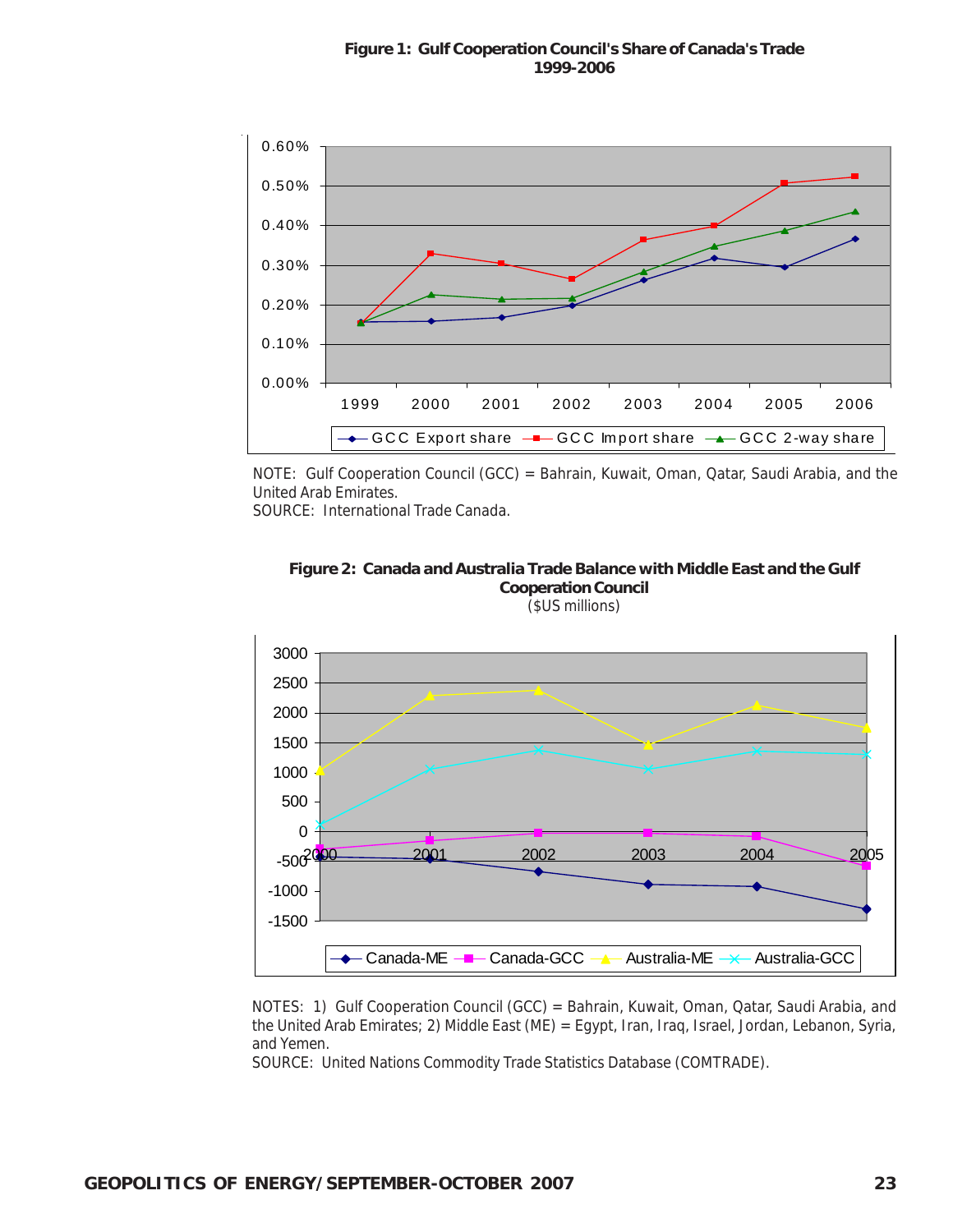

NOTE: Gulf Cooperation Council (GCC) = Bahrain, Kuwait, Oman, Qatar, Saudi Arabia, and the United Arab Emirates.

SOURCE: International Trade Canada.

![](_page_22_Figure_4.jpeg)

![](_page_22_Figure_5.jpeg)

NOTES: 1) Gulf Cooperation Council (GCC) = Bahrain, Kuwait, Oman, Qatar, Saudi Arabia, and the United Arab Emirates; 2) Middle East (ME) = Egypt, Iran, Iraq, Israel, Jordan, Lebanon, Syria, and Yemen.

SOURCE: United Nations Commodity Trade Statistics Database (COMTRADE).